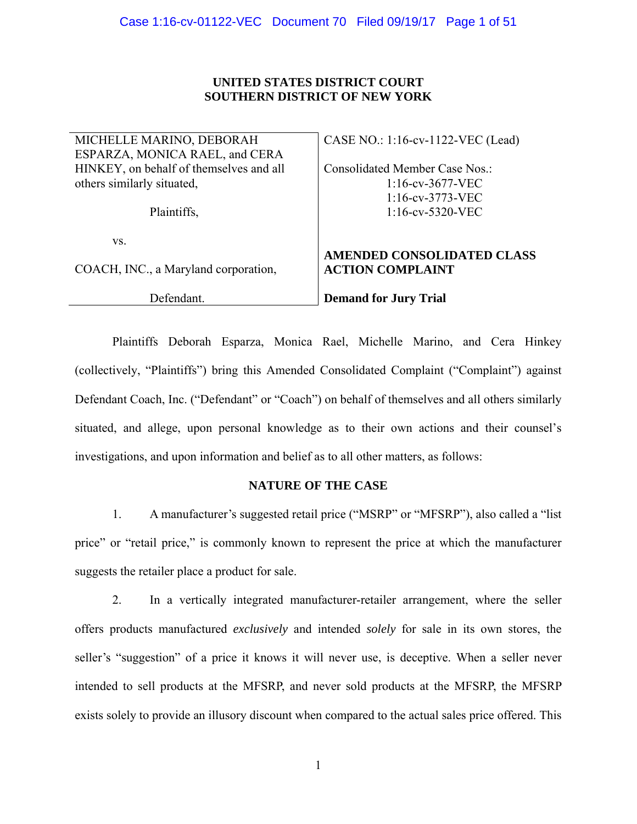# **UNITED STATES DISTRICT COURT SOUTHERN DISTRICT OF NEW YORK**

MICHELLE MARINO, DEBORAH ESPARZA, MONICA RAEL, and CERA HINKEY, on behalf of themselves and all others similarly situated, Plaintiffs, vs.

COACH, INC., a Maryland corporation,

Defendant.

CASE NO.: 1:16-cv-1122-VEC (Lead)

Consolidated Member Case Nos.: 1:16-cv-3677-VEC 1:16-cv-3773-VEC 1:16-cv-5320-VEC

# **AMENDED CONSOLIDATED CLASS ACTION COMPLAINT**

**Demand for Jury Trial** 

Plaintiffs Deborah Esparza, Monica Rael, Michelle Marino, and Cera Hinkey (collectively, "Plaintiffs") bring this Amended Consolidated Complaint ("Complaint") against Defendant Coach, Inc. ("Defendant" or "Coach") on behalf of themselves and all others similarly situated, and allege, upon personal knowledge as to their own actions and their counsel's investigations, and upon information and belief as to all other matters, as follows:

# **NATURE OF THE CASE**

1. A manufacturer's suggested retail price ("MSRP" or "MFSRP"), also called a "list price" or "retail price," is commonly known to represent the price at which the manufacturer suggests the retailer place a product for sale.

2. In a vertically integrated manufacturer-retailer arrangement, where the seller offers products manufactured *exclusively* and intended *solely* for sale in its own stores, the seller's "suggestion" of a price it knows it will never use, is deceptive. When a seller never intended to sell products at the MFSRP, and never sold products at the MFSRP, the MFSRP exists solely to provide an illusory discount when compared to the actual sales price offered. This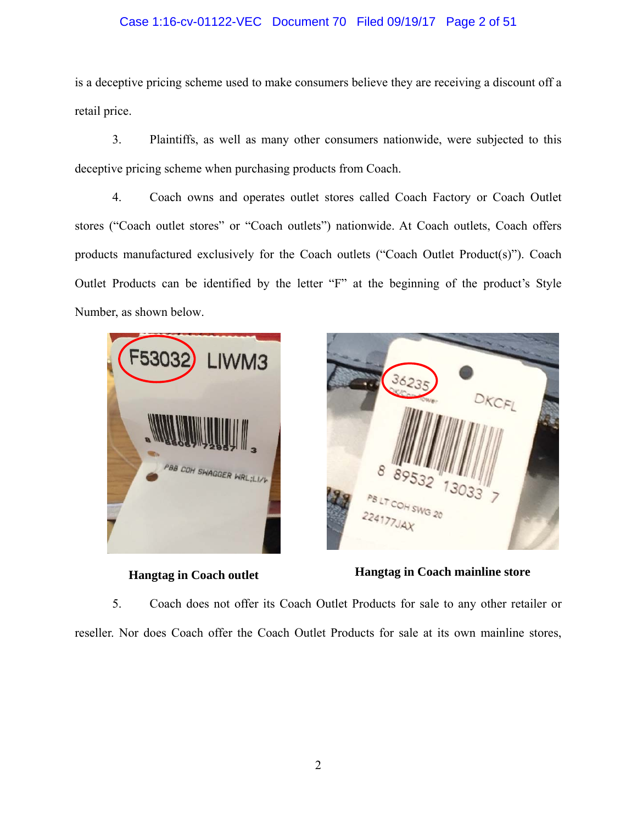# Case 1:16-cv-01122-VEC Document 70 Filed 09/19/17 Page 2 of 51

is a deceptive pricing scheme used to make consumers believe they are receiving a discount off a retail price.

3. Plaintiffs, as well as many other consumers nationwide, were subjected to this deceptive pricing scheme when purchasing products from Coach.

4. Coach owns and operates outlet stores called Coach Factory or Coach Outlet stores ("Coach outlet stores" or "Coach outlets") nationwide. At Coach outlets, Coach offers products manufactured exclusively for the Coach outlets ("Coach Outlet Product(s)"). Coach Outlet Products can be identified by the letter "F" at the beginning of the product's Style Number, as shown below.





**Hangtag in Coach outlet Hangtag in Coach mainline store** 

5. Coach does not offer its Coach Outlet Products for sale to any other retailer or reseller. Nor does Coach offer the Coach Outlet Products for sale at its own mainline stores,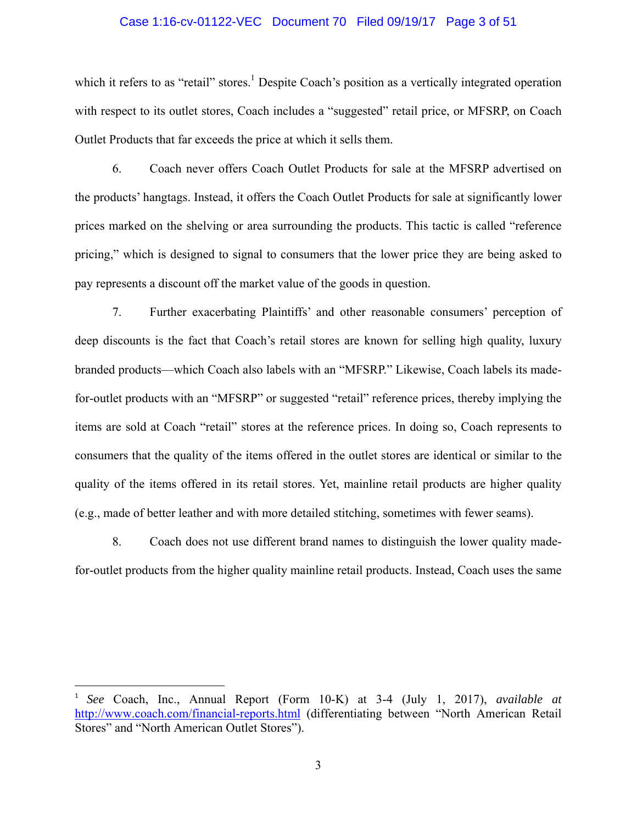#### Case 1:16-cv-01122-VEC Document 70 Filed 09/19/17 Page 3 of 51

which it refers to as "retail" stores.<sup>1</sup> Despite Coach's position as a vertically integrated operation with respect to its outlet stores, Coach includes a "suggested" retail price, or MFSRP, on Coach Outlet Products that far exceeds the price at which it sells them.

6. Coach never offers Coach Outlet Products for sale at the MFSRP advertised on the products' hangtags. Instead, it offers the Coach Outlet Products for sale at significantly lower prices marked on the shelving or area surrounding the products. This tactic is called "reference pricing," which is designed to signal to consumers that the lower price they are being asked to pay represents a discount off the market value of the goods in question.

7. Further exacerbating Plaintiffs' and other reasonable consumers' perception of deep discounts is the fact that Coach's retail stores are known for selling high quality, luxury branded products—which Coach also labels with an "MFSRP." Likewise, Coach labels its madefor-outlet products with an "MFSRP" or suggested "retail" reference prices, thereby implying the items are sold at Coach "retail" stores at the reference prices. In doing so, Coach represents to consumers that the quality of the items offered in the outlet stores are identical or similar to the quality of the items offered in its retail stores. Yet, mainline retail products are higher quality (e.g., made of better leather and with more detailed stitching, sometimes with fewer seams).

8. Coach does not use different brand names to distinguish the lower quality madefor-outlet products from the higher quality mainline retail products. Instead, Coach uses the same

<sup>1</sup> *See* Coach, Inc., Annual Report (Form 10-K) at 3-4 (July 1, 2017), *available at*  http://www.coach.com/financial-reports.html (differentiating between "North American Retail Stores" and "North American Outlet Stores").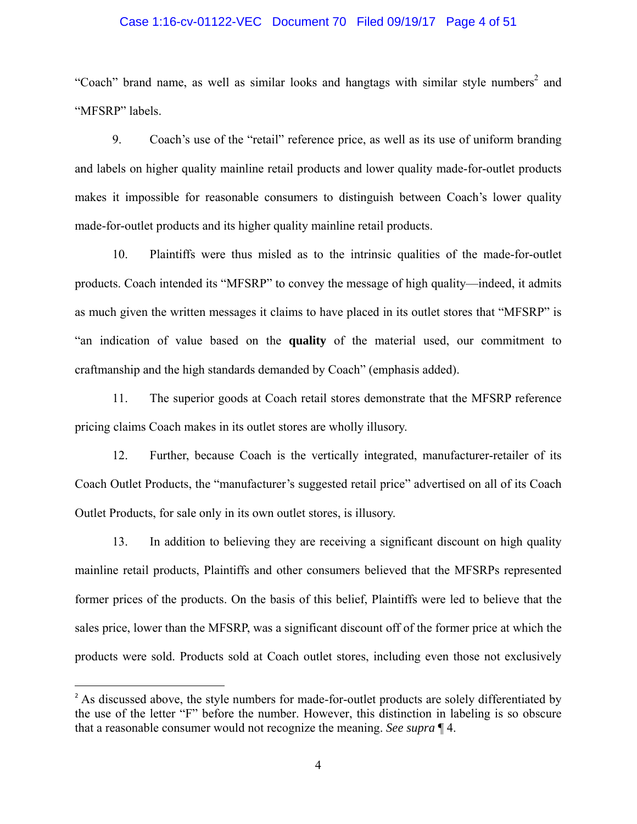#### Case 1:16-cv-01122-VEC Document 70 Filed 09/19/17 Page 4 of 51

"Coach" brand name, as well as similar looks and hangtags with similar style numbers<sup>2</sup> and "MFSRP" labels.

9. Coach's use of the "retail" reference price, as well as its use of uniform branding and labels on higher quality mainline retail products and lower quality made-for-outlet products makes it impossible for reasonable consumers to distinguish between Coach's lower quality made-for-outlet products and its higher quality mainline retail products.

10. Plaintiffs were thus misled as to the intrinsic qualities of the made-for-outlet products. Coach intended its "MFSRP" to convey the message of high quality—indeed, it admits as much given the written messages it claims to have placed in its outlet stores that "MFSRP" is "an indication of value based on the **quality** of the material used, our commitment to craftmanship and the high standards demanded by Coach" (emphasis added).

11. The superior goods at Coach retail stores demonstrate that the MFSRP reference pricing claims Coach makes in its outlet stores are wholly illusory.

12. Further, because Coach is the vertically integrated, manufacturer-retailer of its Coach Outlet Products, the "manufacturer's suggested retail price" advertised on all of its Coach Outlet Products, for sale only in its own outlet stores, is illusory.

13. In addition to believing they are receiving a significant discount on high quality mainline retail products, Plaintiffs and other consumers believed that the MFSRPs represented former prices of the products. On the basis of this belief, Plaintiffs were led to believe that the sales price, lower than the MFSRP, was a significant discount off of the former price at which the products were sold. Products sold at Coach outlet stores, including even those not exclusively

 $\overline{a}$ 

<sup>&</sup>lt;sup>2</sup> As discussed above, the style numbers for made-for-outlet products are solely differentiated by the use of the letter "F" before the number. However, this distinction in labeling is so obscure that a reasonable consumer would not recognize the meaning. *See supra* ¶ 4.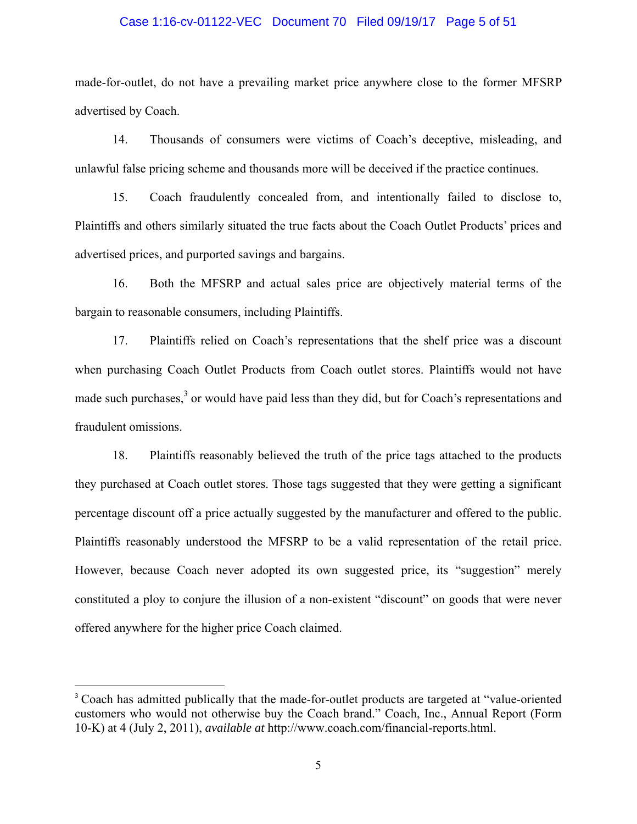#### Case 1:16-cv-01122-VEC Document 70 Filed 09/19/17 Page 5 of 51

made-for-outlet, do not have a prevailing market price anywhere close to the former MFSRP advertised by Coach.

14. Thousands of consumers were victims of Coach's deceptive, misleading, and unlawful false pricing scheme and thousands more will be deceived if the practice continues.

15. Coach fraudulently concealed from, and intentionally failed to disclose to, Plaintiffs and others similarly situated the true facts about the Coach Outlet Products' prices and advertised prices, and purported savings and bargains.

16. Both the MFSRP and actual sales price are objectively material terms of the bargain to reasonable consumers, including Plaintiffs.

17. Plaintiffs relied on Coach's representations that the shelf price was a discount when purchasing Coach Outlet Products from Coach outlet stores. Plaintiffs would not have made such purchases,<sup>3</sup> or would have paid less than they did, but for Coach's representations and fraudulent omissions.

18. Plaintiffs reasonably believed the truth of the price tags attached to the products they purchased at Coach outlet stores. Those tags suggested that they were getting a significant percentage discount off a price actually suggested by the manufacturer and offered to the public. Plaintiffs reasonably understood the MFSRP to be a valid representation of the retail price. However, because Coach never adopted its own suggested price, its "suggestion" merely constituted a ploy to conjure the illusion of a non-existent "discount" on goods that were never offered anywhere for the higher price Coach claimed.

 $\overline{a}$ 

<sup>&</sup>lt;sup>3</sup> Coach has admitted publically that the made-for-outlet products are targeted at "value-oriented" customers who would not otherwise buy the Coach brand." Coach, Inc., Annual Report (Form 10-K) at 4 (July 2, 2011), *available at* http://www.coach.com/financial-reports.html.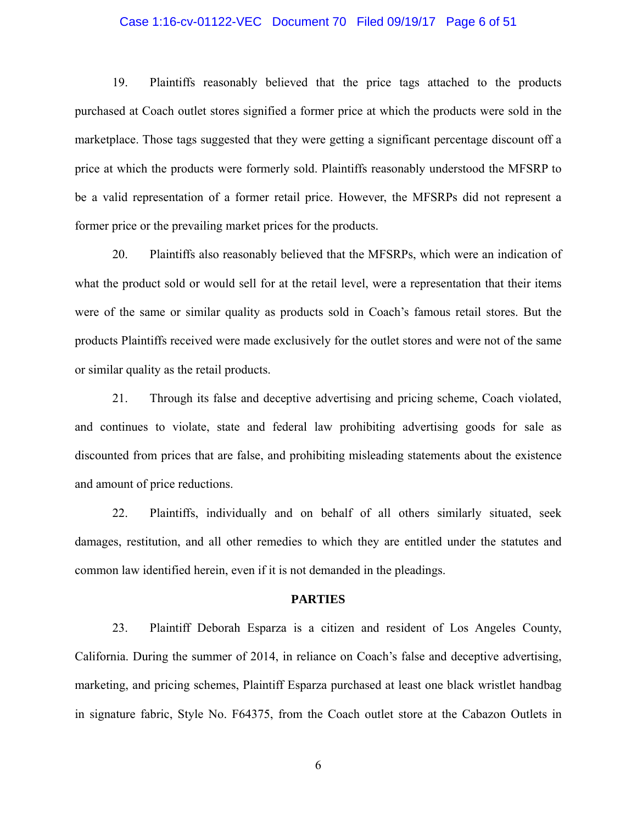#### Case 1:16-cv-01122-VEC Document 70 Filed 09/19/17 Page 6 of 51

19. Plaintiffs reasonably believed that the price tags attached to the products purchased at Coach outlet stores signified a former price at which the products were sold in the marketplace. Those tags suggested that they were getting a significant percentage discount off a price at which the products were formerly sold. Plaintiffs reasonably understood the MFSRP to be a valid representation of a former retail price. However, the MFSRPs did not represent a former price or the prevailing market prices for the products.

20. Plaintiffs also reasonably believed that the MFSRPs, which were an indication of what the product sold or would sell for at the retail level, were a representation that their items were of the same or similar quality as products sold in Coach's famous retail stores. But the products Plaintiffs received were made exclusively for the outlet stores and were not of the same or similar quality as the retail products.

21. Through its false and deceptive advertising and pricing scheme, Coach violated, and continues to violate, state and federal law prohibiting advertising goods for sale as discounted from prices that are false, and prohibiting misleading statements about the existence and amount of price reductions.

22. Plaintiffs, individually and on behalf of all others similarly situated, seek damages, restitution, and all other remedies to which they are entitled under the statutes and common law identified herein, even if it is not demanded in the pleadings.

#### **PARTIES**

23. Plaintiff Deborah Esparza is a citizen and resident of Los Angeles County, California. During the summer of 2014, in reliance on Coach's false and deceptive advertising, marketing, and pricing schemes, Plaintiff Esparza purchased at least one black wristlet handbag in signature fabric, Style No. F64375, from the Coach outlet store at the Cabazon Outlets in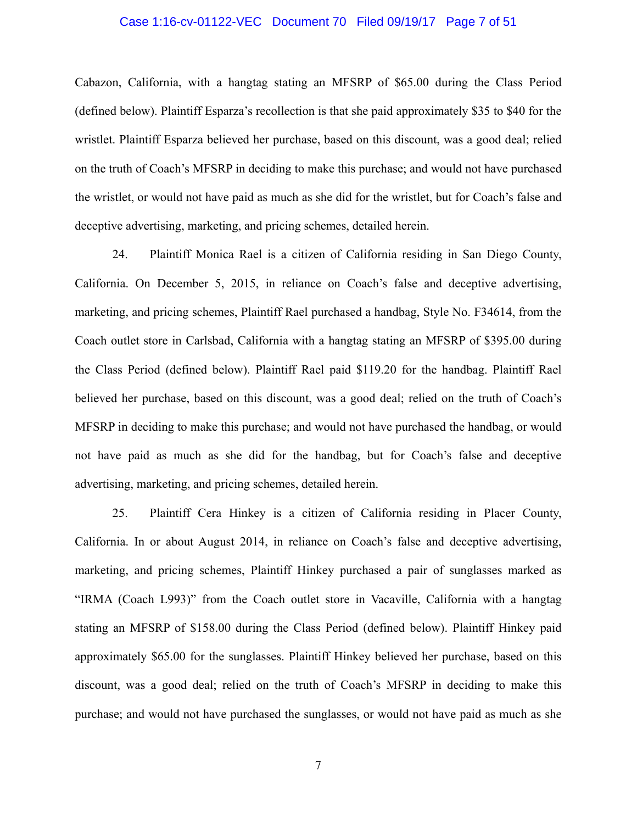#### Case 1:16-cv-01122-VEC Document 70 Filed 09/19/17 Page 7 of 51

Cabazon, California, with a hangtag stating an MFSRP of \$65.00 during the Class Period (defined below). Plaintiff Esparza's recollection is that she paid approximately \$35 to \$40 for the wristlet. Plaintiff Esparza believed her purchase, based on this discount, was a good deal; relied on the truth of Coach's MFSRP in deciding to make this purchase; and would not have purchased the wristlet, or would not have paid as much as she did for the wristlet, but for Coach's false and deceptive advertising, marketing, and pricing schemes, detailed herein.

24. Plaintiff Monica Rael is a citizen of California residing in San Diego County, California. On December 5, 2015, in reliance on Coach's false and deceptive advertising, marketing, and pricing schemes, Plaintiff Rael purchased a handbag, Style No. F34614, from the Coach outlet store in Carlsbad, California with a hangtag stating an MFSRP of \$395.00 during the Class Period (defined below). Plaintiff Rael paid \$119.20 for the handbag. Plaintiff Rael believed her purchase, based on this discount, was a good deal; relied on the truth of Coach's MFSRP in deciding to make this purchase; and would not have purchased the handbag, or would not have paid as much as she did for the handbag, but for Coach's false and deceptive advertising, marketing, and pricing schemes, detailed herein.

25. Plaintiff Cera Hinkey is a citizen of California residing in Placer County, California. In or about August 2014, in reliance on Coach's false and deceptive advertising, marketing, and pricing schemes, Plaintiff Hinkey purchased a pair of sunglasses marked as "IRMA (Coach L993)" from the Coach outlet store in Vacaville, California with a hangtag stating an MFSRP of \$158.00 during the Class Period (defined below). Plaintiff Hinkey paid approximately \$65.00 for the sunglasses. Plaintiff Hinkey believed her purchase, based on this discount, was a good deal; relied on the truth of Coach's MFSRP in deciding to make this purchase; and would not have purchased the sunglasses, or would not have paid as much as she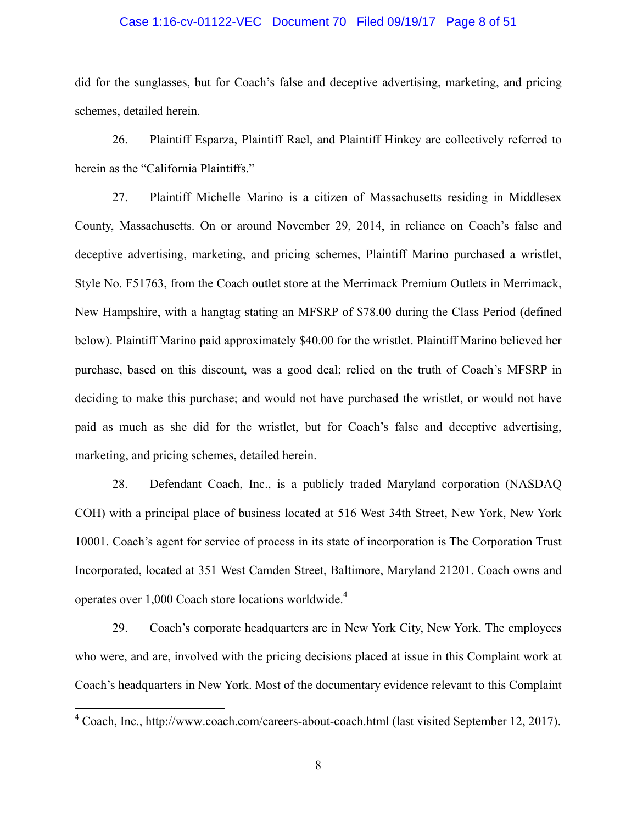#### Case 1:16-cv-01122-VEC Document 70 Filed 09/19/17 Page 8 of 51

did for the sunglasses, but for Coach's false and deceptive advertising, marketing, and pricing schemes, detailed herein.

26. Plaintiff Esparza, Plaintiff Rael, and Plaintiff Hinkey are collectively referred to herein as the "California Plaintiffs."

27. Plaintiff Michelle Marino is a citizen of Massachusetts residing in Middlesex County, Massachusetts. On or around November 29, 2014, in reliance on Coach's false and deceptive advertising, marketing, and pricing schemes, Plaintiff Marino purchased a wristlet, Style No. F51763, from the Coach outlet store at the Merrimack Premium Outlets in Merrimack, New Hampshire, with a hangtag stating an MFSRP of \$78.00 during the Class Period (defined below). Plaintiff Marino paid approximately \$40.00 for the wristlet. Plaintiff Marino believed her purchase, based on this discount, was a good deal; relied on the truth of Coach's MFSRP in deciding to make this purchase; and would not have purchased the wristlet, or would not have paid as much as she did for the wristlet, but for Coach's false and deceptive advertising, marketing, and pricing schemes, detailed herein.

28. Defendant Coach, Inc., is a publicly traded Maryland corporation (NASDAQ COH) with a principal place of business located at 516 West 34th Street, New York, New York 10001. Coach's agent for service of process in its state of incorporation is The Corporation Trust Incorporated, located at 351 West Camden Street, Baltimore, Maryland 21201. Coach owns and operates over 1,000 Coach store locations worldwide.<sup>4</sup>

29. Coach's corporate headquarters are in New York City, New York. The employees who were, and are, involved with the pricing decisions placed at issue in this Complaint work at Coach's headquarters in New York. Most of the documentary evidence relevant to this Complaint

 $\overline{a}$ 

<sup>&</sup>lt;sup>4</sup> Coach, Inc., http://www.coach.com/careers-about-coach.html (last visited September 12, 2017).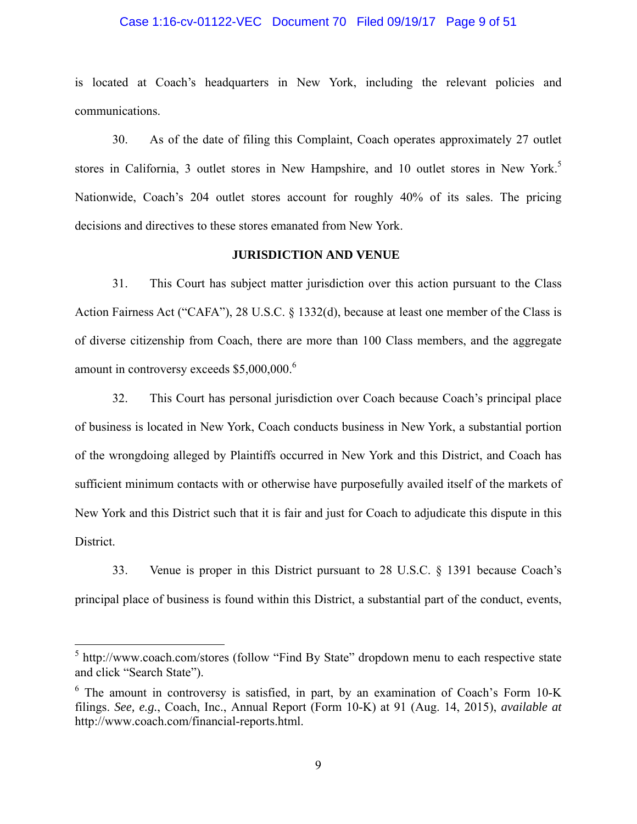#### Case 1:16-cv-01122-VEC Document 70 Filed 09/19/17 Page 9 of 51

is located at Coach's headquarters in New York, including the relevant policies and communications.

30. As of the date of filing this Complaint, Coach operates approximately 27 outlet stores in California, 3 outlet stores in New Hampshire, and 10 outlet stores in New York.<sup>5</sup> Nationwide, Coach's 204 outlet stores account for roughly 40% of its sales. The pricing decisions and directives to these stores emanated from New York.

### **JURISDICTION AND VENUE**

31. This Court has subject matter jurisdiction over this action pursuant to the Class Action Fairness Act ("CAFA"), 28 U.S.C. § 1332(d), because at least one member of the Class is of diverse citizenship from Coach, there are more than 100 Class members, and the aggregate amount in controversy exceeds \$5,000,000.<sup>6</sup>

32. This Court has personal jurisdiction over Coach because Coach's principal place of business is located in New York, Coach conducts business in New York, a substantial portion of the wrongdoing alleged by Plaintiffs occurred in New York and this District, and Coach has sufficient minimum contacts with or otherwise have purposefully availed itself of the markets of New York and this District such that it is fair and just for Coach to adjudicate this dispute in this District.

33. Venue is proper in this District pursuant to 28 U.S.C. § 1391 because Coach's principal place of business is found within this District, a substantial part of the conduct, events,

<u>.</u>

 $<sup>5</sup>$  http://www.coach.com/stores (follow "Find By State" dropdown menu to each respective state</sup> and click "Search State").

<sup>&</sup>lt;sup>6</sup> The amount in controversy is satisfied, in part, by an examination of Coach's Form 10-K filings. *See, e.g.*, Coach, Inc., Annual Report (Form 10-K) at 91 (Aug. 14, 2015), *available at*  http://www.coach.com/financial-reports.html.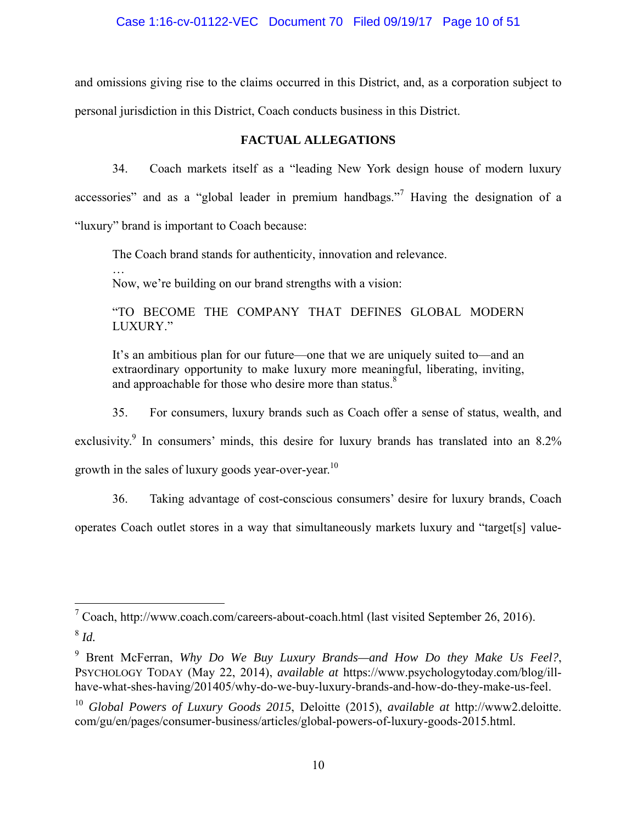and omissions giving rise to the claims occurred in this District, and, as a corporation subject to personal jurisdiction in this District, Coach conducts business in this District.

# **FACTUAL ALLEGATIONS**

34. Coach markets itself as a "leading New York design house of modern luxury accessories" and as a "global leader in premium handbags."<sup>7</sup> Having the designation of a

"luxury" brand is important to Coach because:

 $\overline{a}$ 

The Coach brand stands for authenticity, innovation and relevance.

… Now, we're building on our brand strengths with a vision:

"TO BECOME THE COMPANY THAT DEFINES GLOBAL MODERN LUXURY."

It's an ambitious plan for our future—one that we are uniquely suited to—and an extraordinary opportunity to make luxury more meaningful, liberating, inviting, and approachable for those who desire more than status.<sup>8</sup>

35. For consumers, luxury brands such as Coach offer a sense of status, wealth, and exclusivity.<sup>9</sup> In consumers' minds, this desire for luxury brands has translated into an  $8.2\%$ growth in the sales of luxury goods year-over-year.<sup>10</sup>

36. Taking advantage of cost-conscious consumers' desire for luxury brands, Coach operates Coach outlet stores in a way that simultaneously markets luxury and "target[s] value-

 $7 \text{ Coach}, \text{http://www.coach.com/careers-about-coach.html}$  (last visited September 26, 2016).  $8$  *Id.* 

<sup>9</sup> Brent McFerran, *Why Do We Buy Luxury Brands—and How Do they Make Us Feel?*, PSYCHOLOGY TODAY (May 22, 2014), *available at* https://www.psychologytoday.com/blog/illhave-what-shes-having/201405/why-do-we-buy-luxury-brands-and-how-do-they-make-us-feel.

<sup>10</sup> *Global Powers of Luxury Goods 2015*, Deloitte (2015), *available at* http://www2.deloitte. com/gu/en/pages/consumer-business/articles/global-powers-of-luxury-goods-2015.html.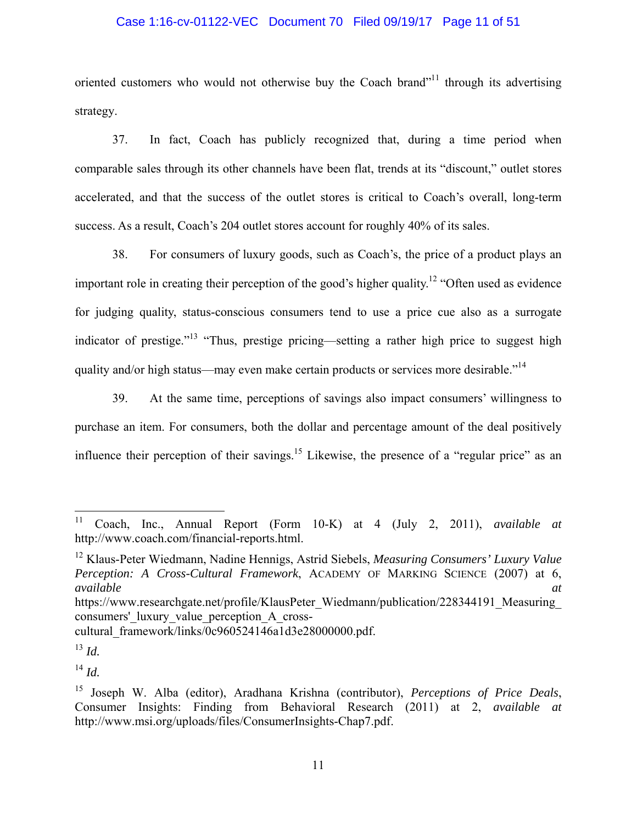# Case 1:16-cv-01122-VEC Document 70 Filed 09/19/17 Page 11 of 51

oriented customers who would not otherwise buy the Coach brand"<sup>11</sup> through its advertising strategy.

37. In fact, Coach has publicly recognized that, during a time period when comparable sales through its other channels have been flat, trends at its "discount," outlet stores accelerated, and that the success of the outlet stores is critical to Coach's overall, long-term success. As a result, Coach's 204 outlet stores account for roughly 40% of its sales.

38. For consumers of luxury goods, such as Coach's, the price of a product plays an important role in creating their perception of the good's higher quality.<sup>12</sup> "Often used as evidence" for judging quality, status-conscious consumers tend to use a price cue also as a surrogate indicator of prestige."<sup>13</sup> "Thus, prestige pricing—setting a rather high price to suggest high quality and/or high status—may even make certain products or services more desirable."<sup>14</sup>

39. At the same time, perceptions of savings also impact consumers' willingness to purchase an item. For consumers, both the dollar and percentage amount of the deal positively influence their perception of their savings.<sup>15</sup> Likewise, the presence of a "regular price" as an

https://www.researchgate.net/profile/KlausPeter\_Wiedmann/publication/228344191\_Measuring consumers' luxury value perception A cross-

<sup>13</sup> *Id.*

1

<sup>14</sup> *Id.*

<sup>11</sup> Coach, Inc., Annual Report (Form 10-K) at 4 (July 2, 2011), *available at*  http://www.coach.com/financial-reports.html.

<sup>12</sup> Klaus-Peter Wiedmann, Nadine Hennigs, Astrid Siebels, *Measuring Consumers' Luxury Value Perception: A Cross-Cultural Framework*, ACADEMY OF MARKING SCIENCE (2007) at 6, *available at* 

cultural\_framework/links/0c960524146a1d3e28000000.pdf.

<sup>15</sup> Joseph W. Alba (editor), Aradhana Krishna (contributor), *Perceptions of Price Deals*, Consumer Insights: Finding from Behavioral Research (2011) at 2, *available at*  http://www.msi.org/uploads/files/ConsumerInsights-Chap7.pdf.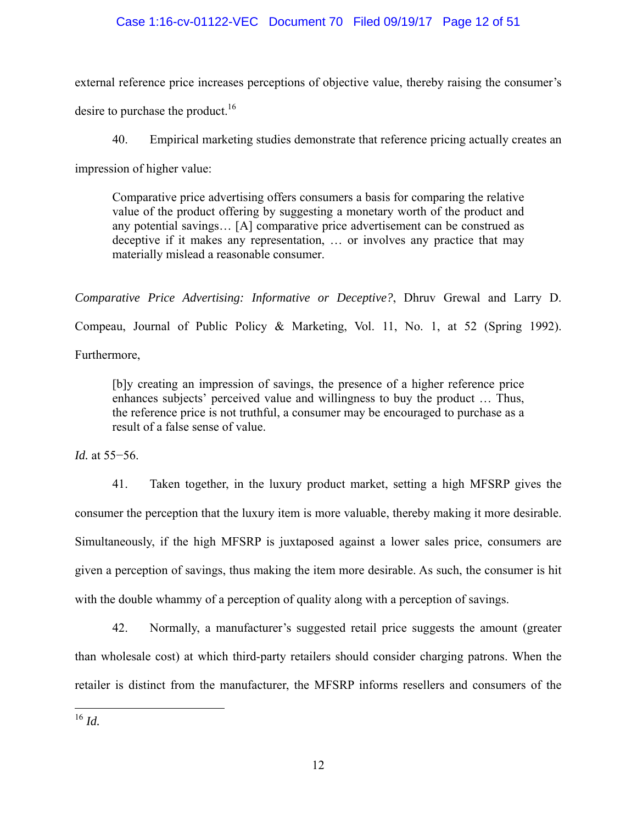# Case 1:16-cv-01122-VEC Document 70 Filed 09/19/17 Page 12 of 51

external reference price increases perceptions of objective value, thereby raising the consumer's

desire to purchase the product.<sup>16</sup>

40. Empirical marketing studies demonstrate that reference pricing actually creates an

impression of higher value:

Comparative price advertising offers consumers a basis for comparing the relative value of the product offering by suggesting a monetary worth of the product and any potential savings… [A] comparative price advertisement can be construed as deceptive if it makes any representation, … or involves any practice that may materially mislead a reasonable consumer.

*Comparative Price Advertising: Informative or Deceptive?*, Dhruv Grewal and Larry D.

Compeau, Journal of Public Policy & Marketing, Vol. 11, No. 1, at 52 (Spring 1992).

Furthermore,

[b]y creating an impression of savings, the presence of a higher reference price enhances subjects' perceived value and willingness to buy the product … Thus, the reference price is not truthful, a consumer may be encouraged to purchase as a result of a false sense of value.

*Id.* at 55–56.

41. Taken together, in the luxury product market, setting a high MFSRP gives the consumer the perception that the luxury item is more valuable, thereby making it more desirable. Simultaneously, if the high MFSRP is juxtaposed against a lower sales price, consumers are given a perception of savings, thus making the item more desirable. As such, the consumer is hit with the double whammy of a perception of quality along with a perception of savings.

42. Normally, a manufacturer's suggested retail price suggests the amount (greater than wholesale cost) at which third-party retailers should consider charging patrons. When the retailer is distinct from the manufacturer, the MFSRP informs resellers and consumers of the

 $\overline{a}$ <sup>16</sup> *Id.*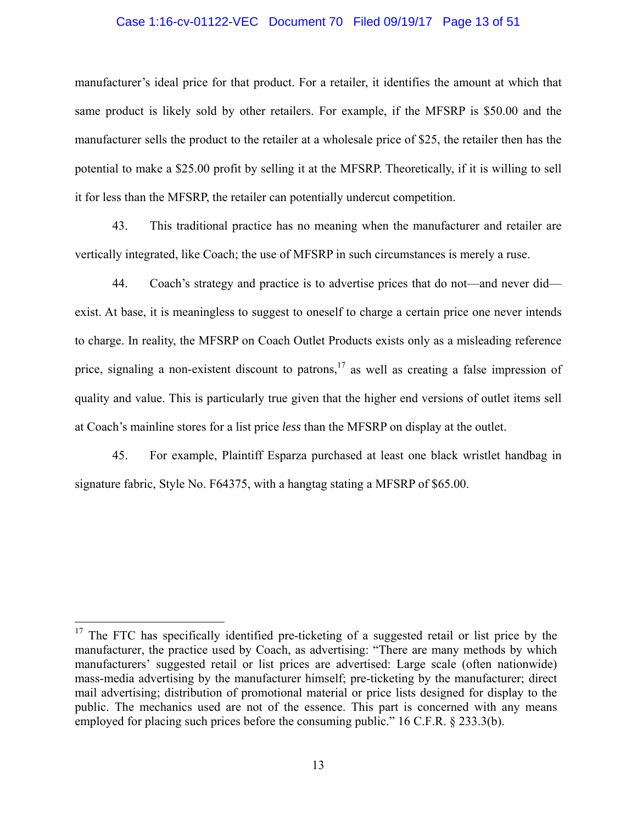#### Case 1:16-cv-01122-VEC Document 70 Filed 09/19/17 Page 13 of 51

manufacturer's ideal price for that product. For a retailer, it identifies the amount at which that same product is likely sold by other retailers. For example, if the MFSRP is \$50.00 and the manufacturer sells the product to the retailer at a wholesale price of \$25, the retailer then has the potential to make a \$25.00 profit by selling it at the MFSRP. Theoretically, if it is willing to sell it for less than the MFSRP, the retailer can potentially undercut competition.

43. This traditional practice has no meaning when the manufacturer and retailer are vertically integrated, like Coach; the use of MFSRP in such circumstances is merely a ruse.

44. Coach's strategy and practice is to advertise prices that do not—and never did exist. At base, it is meaningless to suggest to oneself to charge a certain price one never intends to charge. In reality, the MFSRP on Coach Outlet Products exists only as a misleading reference price, signaling a non-existent discount to patrons,<sup>17</sup> as well as creating a false impression of quality and value. This is particularly true given that the higher end versions of outlet items sell at Coach's mainline stores for a list price *less* than the MFSRP on display at the outlet.

45. For example, Plaintiff Esparza purchased at least one black wristlet handbag in signature fabric, Style No. F64375, with a hangtag stating a MFSRP of \$65.00.

 $\overline{a}$ 

 $17$  The FTC has specifically identified pre-ticketing of a suggested retail or list price by the manufacturer, the practice used by Coach, as advertising: "There are many methods by which manufacturers' suggested retail or list prices are advertised: Large scale (often nationwide) mass-media advertising by the manufacturer himself; pre-ticketing by the manufacturer; direct mail advertising; distribution of promotional material or price lists designed for display to the public. The mechanics used are not of the essence. This part is concerned with any means employed for placing such prices before the consuming public." 16 C.F.R. § 233.3(b).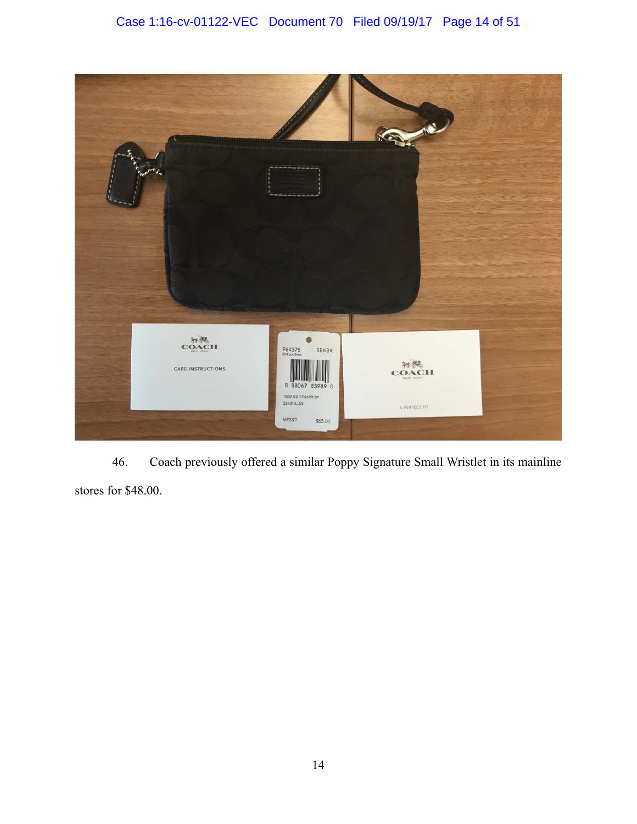

46. Coach previously offered a similar Poppy Signature Small Wristlet in its mainline stores for \$48.00.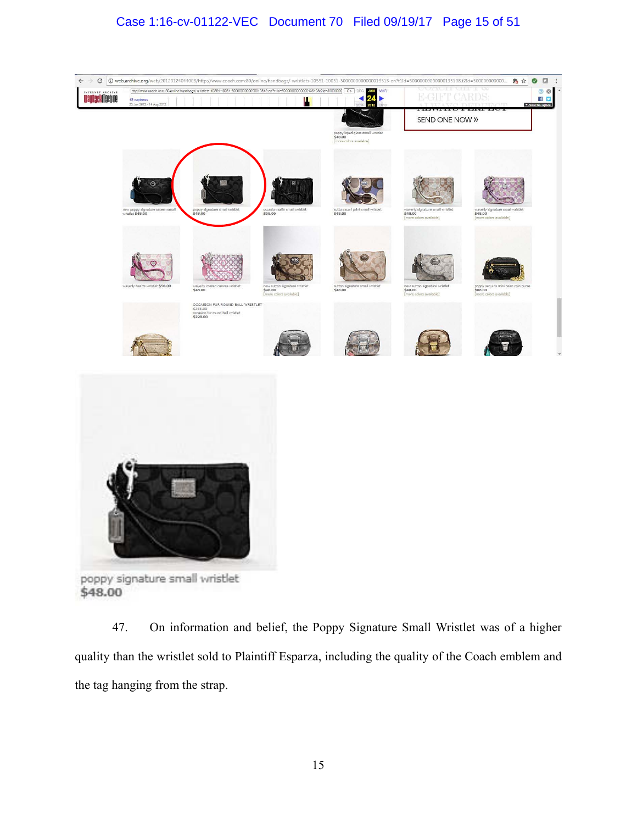# Case 1:16-cv-01122-VEC Document 70 Filed 09/19/17 Page 15 of 51





poppy signature small wristlet \$48.00

47. On information and belief, the Poppy Signature Small Wristlet was of a higher quality than the wristlet sold to Plaintiff Esparza, including the quality of the Coach emblem and the tag hanging from the strap.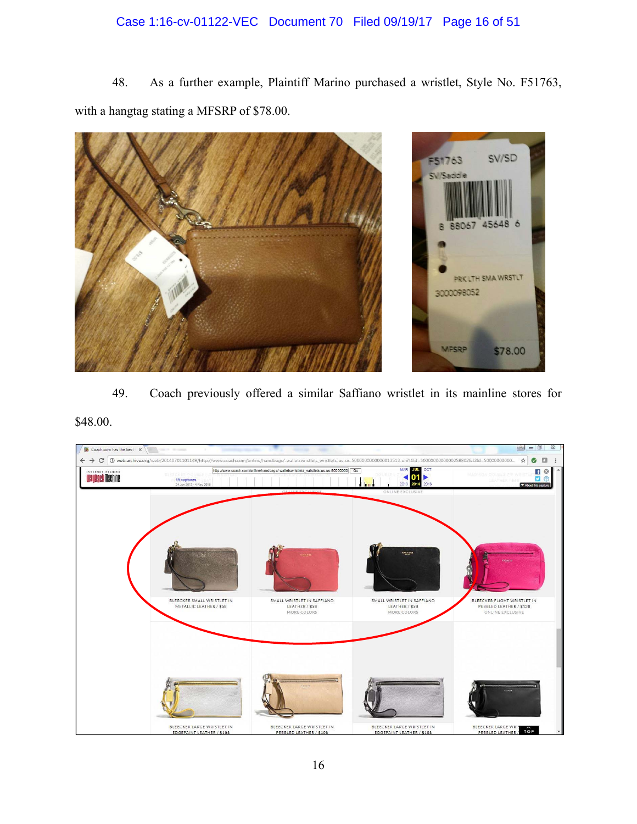# Case 1:16-cv-01122-VEC Document 70 Filed 09/19/17 Page 16 of 51

48. As a further example, Plaintiff Marino purchased a wristlet, Style No. F51763, with a hangtag stating a MFSRP of \$78.00.



49. Coach previously offered a similar Saffiano wristlet in its mainline stores for



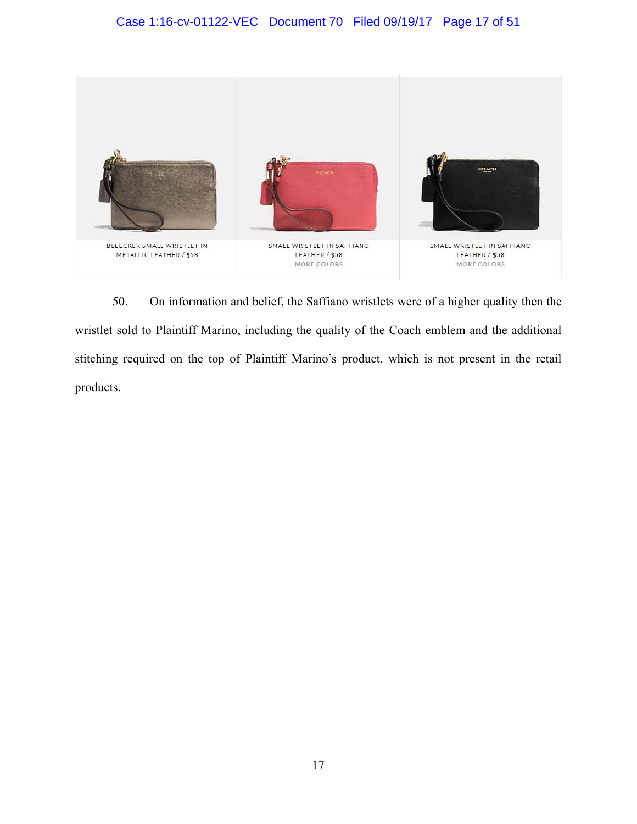

50. On information and belief, the Saffiano wristlets were of a higher quality then the wristlet sold to Plaintiff Marino, including the quality of the Coach emblem and the additional stitching required on the top of Plaintiff Marino's product, which is not present in the retail products.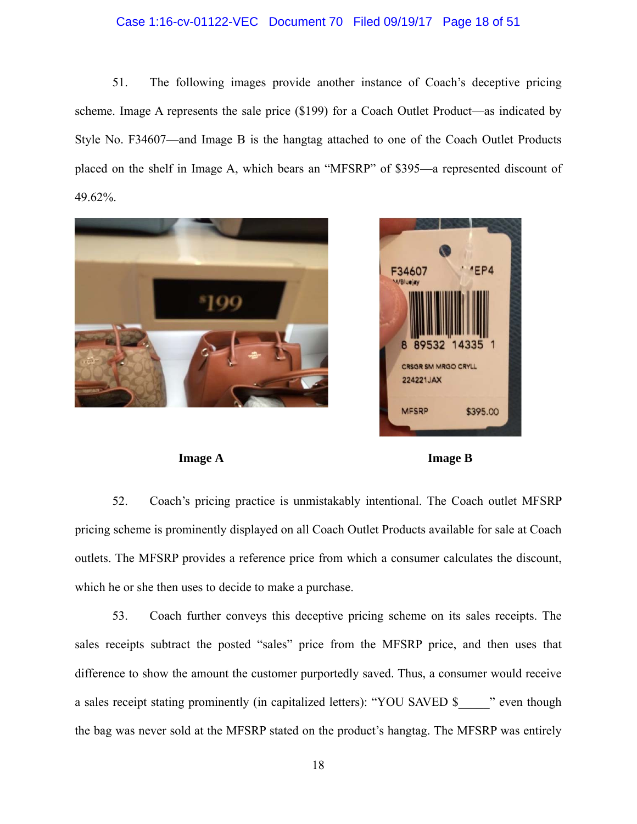#### Case 1:16-cv-01122-VEC Document 70 Filed 09/19/17 Page 18 of 51

51. The following images provide another instance of Coach's deceptive pricing scheme. Image A represents the sale price (\$199) for a Coach Outlet Product—as indicated by Style No. F34607—and Image B is the hangtag attached to one of the Coach Outlet Products placed on the shelf in Image A, which bears an "MFSRP" of \$395—a represented discount of 49.62%.





**Image A Image B** 

52. Coach's pricing practice is unmistakably intentional. The Coach outlet MFSRP pricing scheme is prominently displayed on all Coach Outlet Products available for sale at Coach outlets. The MFSRP provides a reference price from which a consumer calculates the discount, which he or she then uses to decide to make a purchase.

53. Coach further conveys this deceptive pricing scheme on its sales receipts. The sales receipts subtract the posted "sales" price from the MFSRP price, and then uses that difference to show the amount the customer purportedly saved. Thus, a consumer would receive a sales receipt stating prominently (in capitalized letters): "YOU SAVED \$ we wen though the bag was never sold at the MFSRP stated on the product's hangtag. The MFSRP was entirely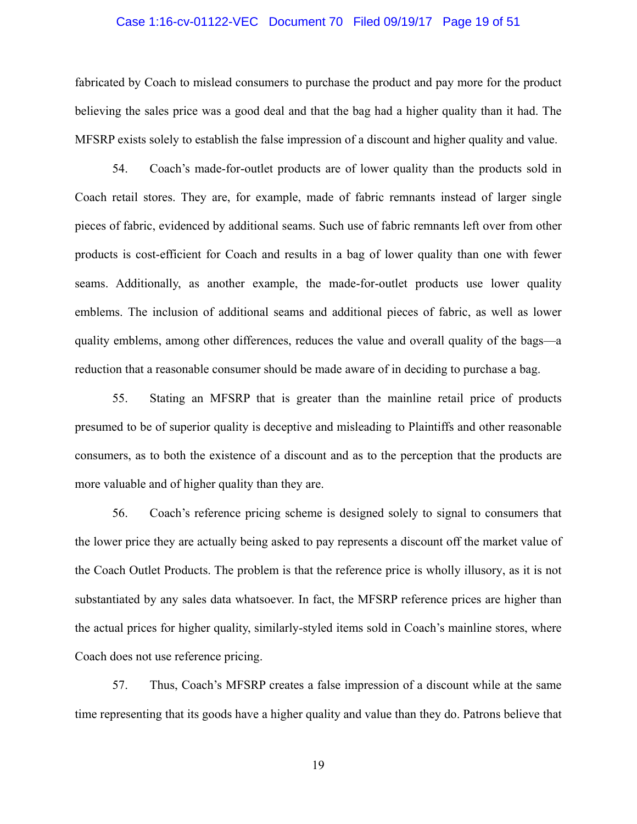#### Case 1:16-cv-01122-VEC Document 70 Filed 09/19/17 Page 19 of 51

fabricated by Coach to mislead consumers to purchase the product and pay more for the product believing the sales price was a good deal and that the bag had a higher quality than it had. The MFSRP exists solely to establish the false impression of a discount and higher quality and value.

54. Coach's made-for-outlet products are of lower quality than the products sold in Coach retail stores. They are, for example, made of fabric remnants instead of larger single pieces of fabric, evidenced by additional seams. Such use of fabric remnants left over from other products is cost-efficient for Coach and results in a bag of lower quality than one with fewer seams. Additionally, as another example, the made-for-outlet products use lower quality emblems. The inclusion of additional seams and additional pieces of fabric, as well as lower quality emblems, among other differences, reduces the value and overall quality of the bags—a reduction that a reasonable consumer should be made aware of in deciding to purchase a bag.

55. Stating an MFSRP that is greater than the mainline retail price of products presumed to be of superior quality is deceptive and misleading to Plaintiffs and other reasonable consumers, as to both the existence of a discount and as to the perception that the products are more valuable and of higher quality than they are.

56. Coach's reference pricing scheme is designed solely to signal to consumers that the lower price they are actually being asked to pay represents a discount off the market value of the Coach Outlet Products. The problem is that the reference price is wholly illusory, as it is not substantiated by any sales data whatsoever. In fact, the MFSRP reference prices are higher than the actual prices for higher quality, similarly-styled items sold in Coach's mainline stores, where Coach does not use reference pricing.

57. Thus, Coach's MFSRP creates a false impression of a discount while at the same time representing that its goods have a higher quality and value than they do. Patrons believe that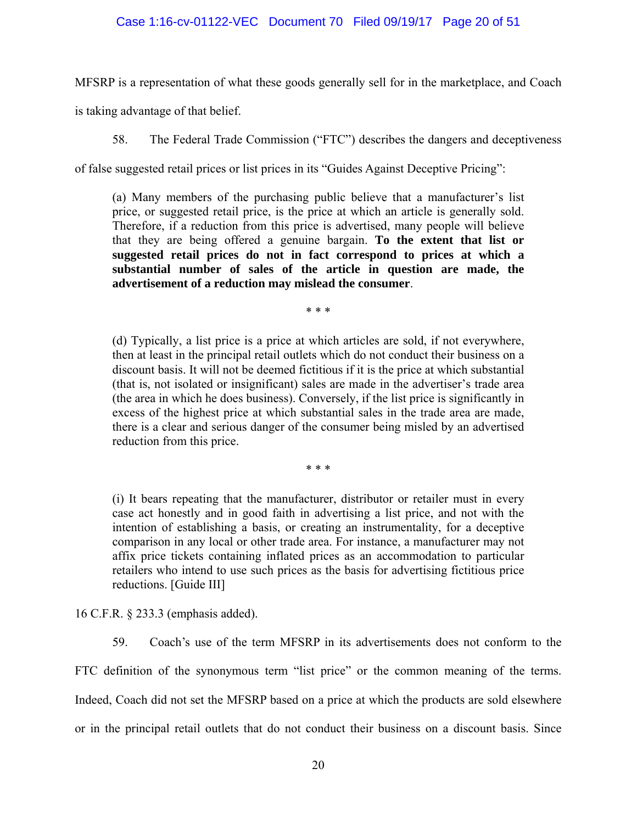## Case 1:16-cv-01122-VEC Document 70 Filed 09/19/17 Page 20 of 51

MFSRP is a representation of what these goods generally sell for in the marketplace, and Coach

is taking advantage of that belief.

58. The Federal Trade Commission ("FTC") describes the dangers and deceptiveness

of false suggested retail prices or list prices in its "Guides Against Deceptive Pricing":

(a) Many members of the purchasing public believe that a manufacturer's list price, or suggested retail price, is the price at which an article is generally sold. Therefore, if a reduction from this price is advertised, many people will believe that they are being offered a genuine bargain. **To the extent that list or suggested retail prices do not in fact correspond to prices at which a substantial number of sales of the article in question are made, the advertisement of a reduction may mislead the consumer**.

\* \* \*

(d) Typically, a list price is a price at which articles are sold, if not everywhere, then at least in the principal retail outlets which do not conduct their business on a discount basis. It will not be deemed fictitious if it is the price at which substantial (that is, not isolated or insignificant) sales are made in the advertiser's trade area (the area in which he does business). Conversely, if the list price is significantly in excess of the highest price at which substantial sales in the trade area are made, there is a clear and serious danger of the consumer being misled by an advertised reduction from this price.

\* \* \*

(i) It bears repeating that the manufacturer, distributor or retailer must in every case act honestly and in good faith in advertising a list price, and not with the intention of establishing a basis, or creating an instrumentality, for a deceptive comparison in any local or other trade area. For instance, a manufacturer may not affix price tickets containing inflated prices as an accommodation to particular retailers who intend to use such prices as the basis for advertising fictitious price reductions. [Guide III]

16 C.F.R. § 233.3 (emphasis added).

59. Coach's use of the term MFSRP in its advertisements does not conform to the

FTC definition of the synonymous term "list price" or the common meaning of the terms.

Indeed, Coach did not set the MFSRP based on a price at which the products are sold elsewhere

or in the principal retail outlets that do not conduct their business on a discount basis. Since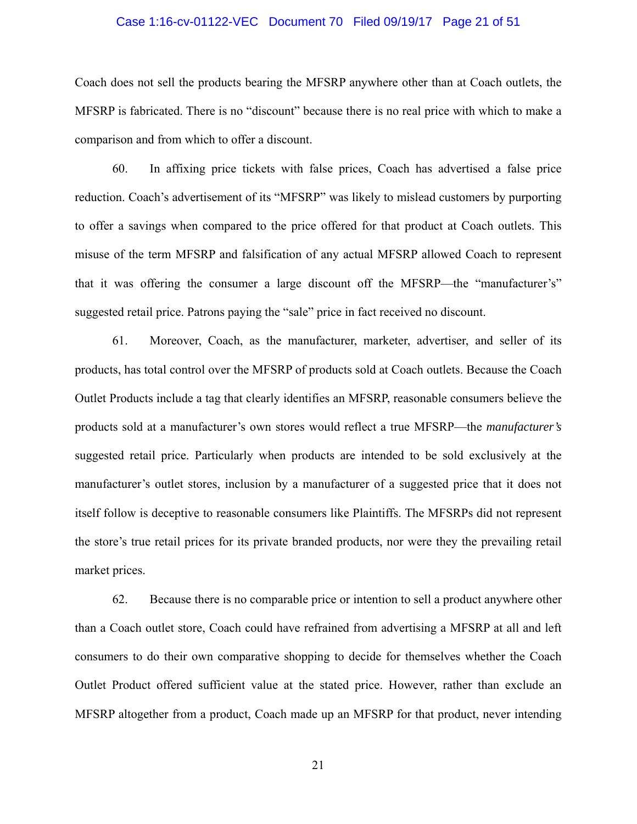#### Case 1:16-cv-01122-VEC Document 70 Filed 09/19/17 Page 21 of 51

Coach does not sell the products bearing the MFSRP anywhere other than at Coach outlets, the MFSRP is fabricated. There is no "discount" because there is no real price with which to make a comparison and from which to offer a discount.

60. In affixing price tickets with false prices, Coach has advertised a false price reduction. Coach's advertisement of its "MFSRP" was likely to mislead customers by purporting to offer a savings when compared to the price offered for that product at Coach outlets. This misuse of the term MFSRP and falsification of any actual MFSRP allowed Coach to represent that it was offering the consumer a large discount off the MFSRP—the "manufacturer's" suggested retail price. Patrons paying the "sale" price in fact received no discount.

61. Moreover, Coach, as the manufacturer, marketer, advertiser, and seller of its products, has total control over the MFSRP of products sold at Coach outlets. Because the Coach Outlet Products include a tag that clearly identifies an MFSRP, reasonable consumers believe the products sold at a manufacturer's own stores would reflect a true MFSRP—the *manufacturer's* suggested retail price. Particularly when products are intended to be sold exclusively at the manufacturer's outlet stores, inclusion by a manufacturer of a suggested price that it does not itself follow is deceptive to reasonable consumers like Plaintiffs. The MFSRPs did not represent the store's true retail prices for its private branded products, nor were they the prevailing retail market prices.

62. Because there is no comparable price or intention to sell a product anywhere other than a Coach outlet store, Coach could have refrained from advertising a MFSRP at all and left consumers to do their own comparative shopping to decide for themselves whether the Coach Outlet Product offered sufficient value at the stated price. However, rather than exclude an MFSRP altogether from a product, Coach made up an MFSRP for that product, never intending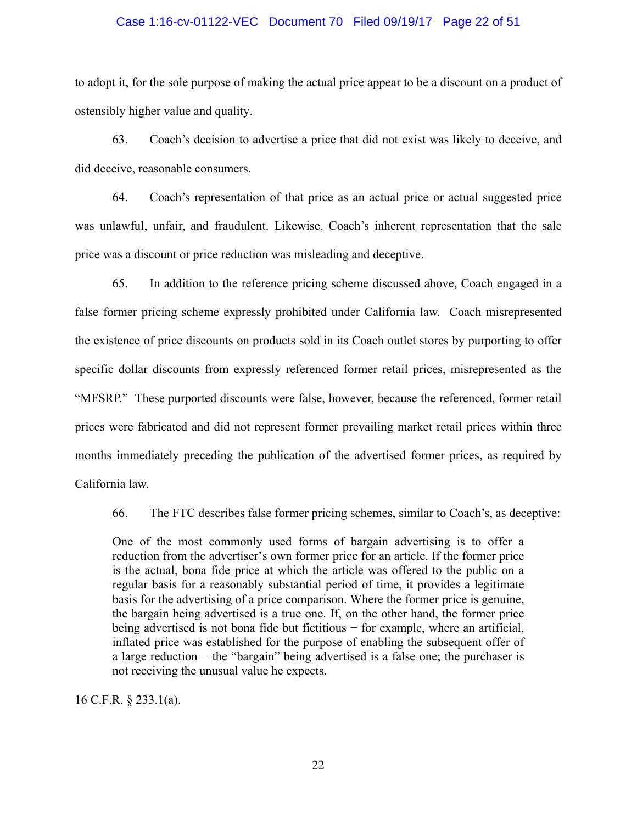#### Case 1:16-cv-01122-VEC Document 70 Filed 09/19/17 Page 22 of 51

to adopt it, for the sole purpose of making the actual price appear to be a discount on a product of ostensibly higher value and quality.

63. Coach's decision to advertise a price that did not exist was likely to deceive, and did deceive, reasonable consumers.

64. Coach's representation of that price as an actual price or actual suggested price was unlawful, unfair, and fraudulent. Likewise, Coach's inherent representation that the sale price was a discount or price reduction was misleading and deceptive.

65. In addition to the reference pricing scheme discussed above, Coach engaged in a false former pricing scheme expressly prohibited under California law. Coach misrepresented the existence of price discounts on products sold in its Coach outlet stores by purporting to offer specific dollar discounts from expressly referenced former retail prices, misrepresented as the "MFSRP." These purported discounts were false, however, because the referenced, former retail prices were fabricated and did not represent former prevailing market retail prices within three months immediately preceding the publication of the advertised former prices, as required by California law.

66. The FTC describes false former pricing schemes, similar to Coach's, as deceptive:

One of the most commonly used forms of bargain advertising is to offer a reduction from the advertiser's own former price for an article. If the former price is the actual, bona fide price at which the article was offered to the public on a regular basis for a reasonably substantial period of time, it provides a legitimate basis for the advertising of a price comparison. Where the former price is genuine, the bargain being advertised is a true one. If, on the other hand, the former price being advertised is not bona fide but fictitious − for example, where an artificial, inflated price was established for the purpose of enabling the subsequent offer of a large reduction − the "bargain" being advertised is a false one; the purchaser is not receiving the unusual value he expects.

16 C.F.R. § 233.1(a).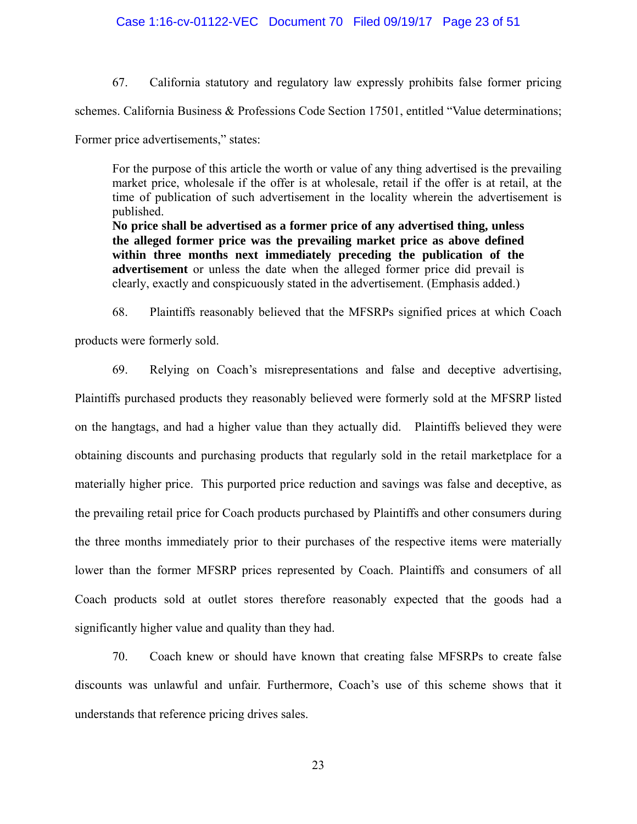### Case 1:16-cv-01122-VEC Document 70 Filed 09/19/17 Page 23 of 51

67. California statutory and regulatory law expressly prohibits false former pricing

schemes. California Business & Professions Code Section 17501, entitled "Value determinations;

Former price advertisements," states:

For the purpose of this article the worth or value of any thing advertised is the prevailing market price, wholesale if the offer is at wholesale, retail if the offer is at retail, at the time of publication of such advertisement in the locality wherein the advertisement is published.

**No price shall be advertised as a former price of any advertised thing, unless the alleged former price was the prevailing market price as above defined within three months next immediately preceding the publication of the advertisement** or unless the date when the alleged former price did prevail is clearly, exactly and conspicuously stated in the advertisement. (Emphasis added.)

68. Plaintiffs reasonably believed that the MFSRPs signified prices at which Coach products were formerly sold.

69. Relying on Coach's misrepresentations and false and deceptive advertising,

Plaintiffs purchased products they reasonably believed were formerly sold at the MFSRP listed on the hangtags, and had a higher value than they actually did. Plaintiffs believed they were obtaining discounts and purchasing products that regularly sold in the retail marketplace for a materially higher price. This purported price reduction and savings was false and deceptive, as the prevailing retail price for Coach products purchased by Plaintiffs and other consumers during the three months immediately prior to their purchases of the respective items were materially lower than the former MFSRP prices represented by Coach. Plaintiffs and consumers of all Coach products sold at outlet stores therefore reasonably expected that the goods had a significantly higher value and quality than they had.

70. Coach knew or should have known that creating false MFSRPs to create false discounts was unlawful and unfair. Furthermore, Coach's use of this scheme shows that it understands that reference pricing drives sales.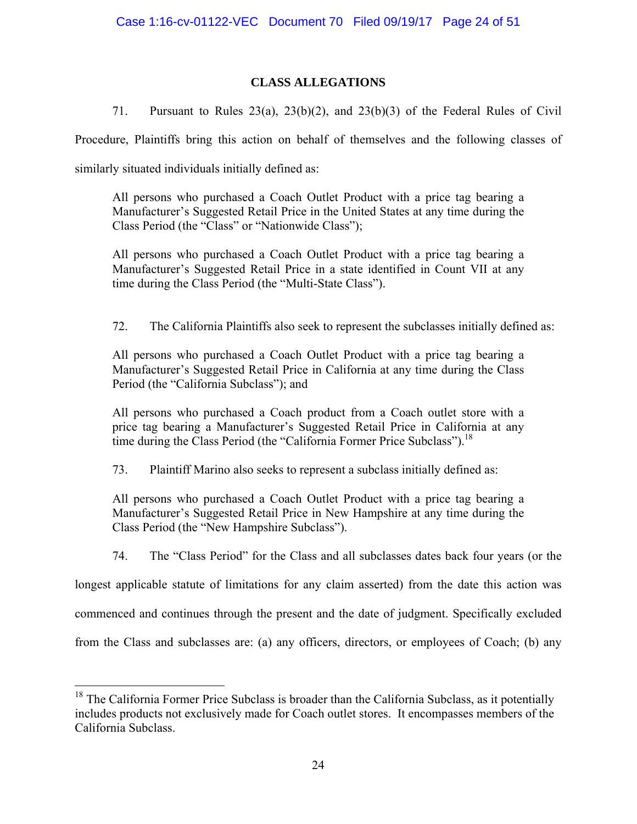# **CLASS ALLEGATIONS**

71. Pursuant to Rules 23(a), 23(b)(2), and 23(b)(3) of the Federal Rules of Civil

Procedure, Plaintiffs bring this action on behalf of themselves and the following classes of

similarly situated individuals initially defined as:

 $\overline{a}$ 

All persons who purchased a Coach Outlet Product with a price tag bearing a Manufacturer's Suggested Retail Price in the United States at any time during the Class Period (the "Class" or "Nationwide Class");

All persons who purchased a Coach Outlet Product with a price tag bearing a Manufacturer's Suggested Retail Price in a state identified in Count VII at any time during the Class Period (the "Multi-State Class").

72. The California Plaintiffs also seek to represent the subclasses initially defined as:

All persons who purchased a Coach Outlet Product with a price tag bearing a Manufacturer's Suggested Retail Price in California at any time during the Class Period (the "California Subclass"); and

All persons who purchased a Coach product from a Coach outlet store with a price tag bearing a Manufacturer's Suggested Retail Price in California at any time during the Class Period (the "California Former Price Subclass").<sup>18</sup>

73. Plaintiff Marino also seeks to represent a subclass initially defined as:

All persons who purchased a Coach Outlet Product with a price tag bearing a Manufacturer's Suggested Retail Price in New Hampshire at any time during the Class Period (the "New Hampshire Subclass").

74. The "Class Period" for the Class and all subclasses dates back four years (or the

longest applicable statute of limitations for any claim asserted) from the date this action was

commenced and continues through the present and the date of judgment. Specifically excluded

from the Class and subclasses are: (a) any officers, directors, or employees of Coach; (b) any

 $18$  The California Former Price Subclass is broader than the California Subclass, as it potentially includes products not exclusively made for Coach outlet stores. It encompasses members of the California Subclass.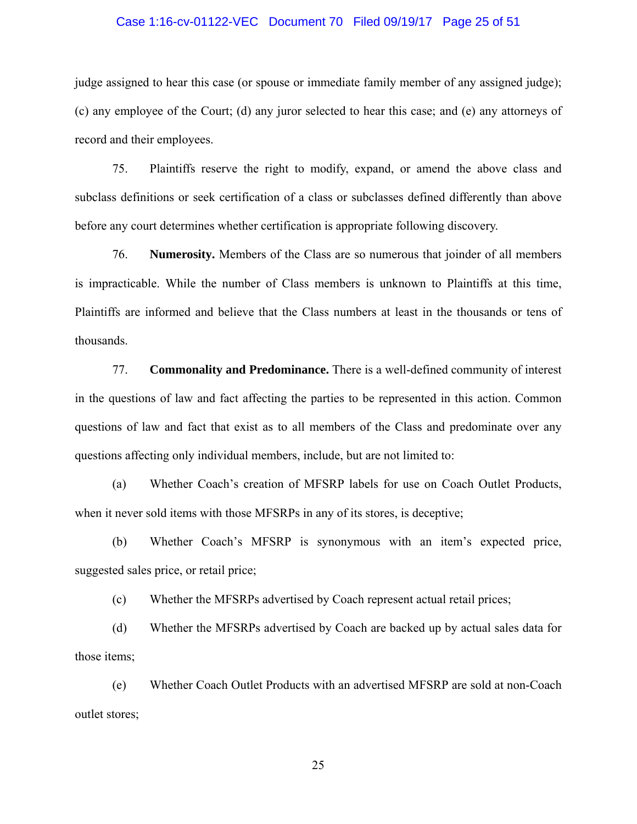#### Case 1:16-cv-01122-VEC Document 70 Filed 09/19/17 Page 25 of 51

judge assigned to hear this case (or spouse or immediate family member of any assigned judge); (c) any employee of the Court; (d) any juror selected to hear this case; and (e) any attorneys of record and their employees.

75. Plaintiffs reserve the right to modify, expand, or amend the above class and subclass definitions or seek certification of a class or subclasses defined differently than above before any court determines whether certification is appropriate following discovery.

76. **Numerosity.** Members of the Class are so numerous that joinder of all members is impracticable. While the number of Class members is unknown to Plaintiffs at this time, Plaintiffs are informed and believe that the Class numbers at least in the thousands or tens of thousands.

77. **Commonality and Predominance.** There is a well-defined community of interest in the questions of law and fact affecting the parties to be represented in this action. Common questions of law and fact that exist as to all members of the Class and predominate over any questions affecting only individual members, include, but are not limited to:

(a) Whether Coach's creation of MFSRP labels for use on Coach Outlet Products, when it never sold items with those MFSRPs in any of its stores, is deceptive;

(b) Whether Coach's MFSRP is synonymous with an item's expected price, suggested sales price, or retail price;

(c) Whether the MFSRPs advertised by Coach represent actual retail prices;

(d) Whether the MFSRPs advertised by Coach are backed up by actual sales data for those items;

(e) Whether Coach Outlet Products with an advertised MFSRP are sold at non-Coach outlet stores;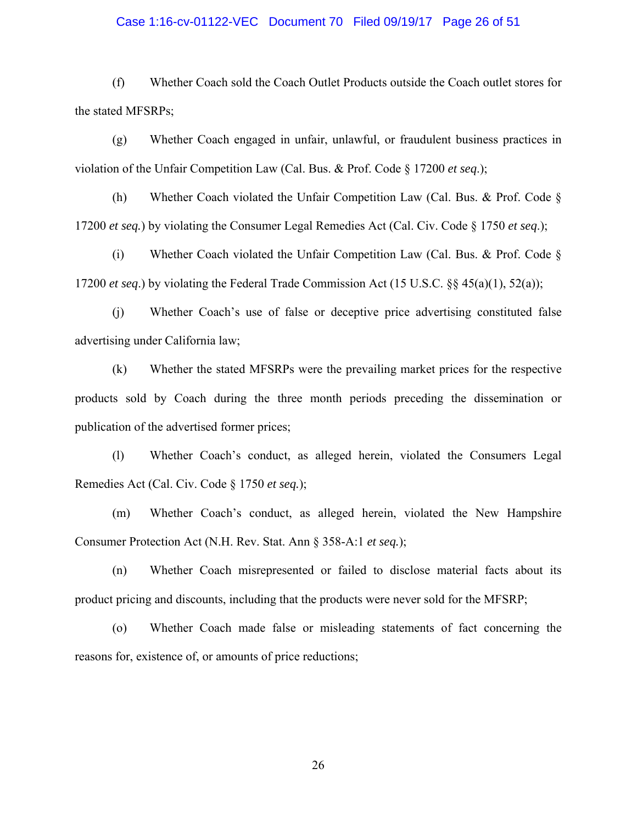#### Case 1:16-cv-01122-VEC Document 70 Filed 09/19/17 Page 26 of 51

(f) Whether Coach sold the Coach Outlet Products outside the Coach outlet stores for the stated MFSRPs;

(g) Whether Coach engaged in unfair, unlawful, or fraudulent business practices in violation of the Unfair Competition Law (Cal. Bus. & Prof. Code § 17200 *et seq*.);

(h) Whether Coach violated the Unfair Competition Law (Cal. Bus. & Prof. Code § 17200 *et seq.*) by violating the Consumer Legal Remedies Act (Cal. Civ. Code § 1750 *et seq*.);

(i) Whether Coach violated the Unfair Competition Law (Cal. Bus. & Prof. Code § 17200 *et seq*.) by violating the Federal Trade Commission Act (15 U.S.C. §§ 45(a)(1), 52(a));

(j) Whether Coach's use of false or deceptive price advertising constituted false advertising under California law;

(k) Whether the stated MFSRPs were the prevailing market prices for the respective products sold by Coach during the three month periods preceding the dissemination or publication of the advertised former prices;

(l) Whether Coach's conduct, as alleged herein, violated the Consumers Legal Remedies Act (Cal. Civ. Code § 1750 *et seq.*);

(m) Whether Coach's conduct, as alleged herein, violated the New Hampshire Consumer Protection Act (N.H. Rev. Stat. Ann § 358-A:1 *et seq.*);

(n) Whether Coach misrepresented or failed to disclose material facts about its product pricing and discounts, including that the products were never sold for the MFSRP;

(o) Whether Coach made false or misleading statements of fact concerning the reasons for, existence of, or amounts of price reductions;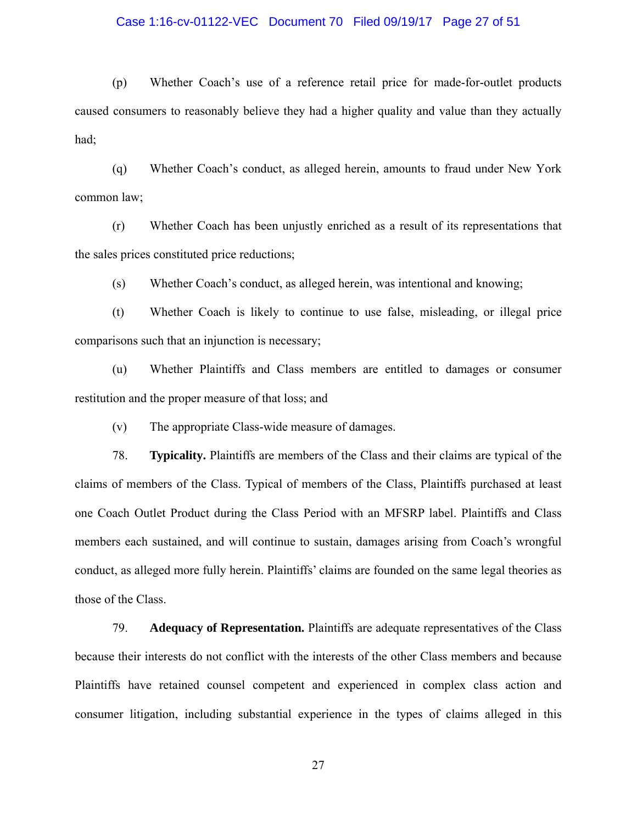#### Case 1:16-cv-01122-VEC Document 70 Filed 09/19/17 Page 27 of 51

(p) Whether Coach's use of a reference retail price for made-for-outlet products caused consumers to reasonably believe they had a higher quality and value than they actually had;

(q) Whether Coach's conduct, as alleged herein, amounts to fraud under New York common law;

(r) Whether Coach has been unjustly enriched as a result of its representations that the sales prices constituted price reductions;

(s) Whether Coach's conduct, as alleged herein, was intentional and knowing;

(t) Whether Coach is likely to continue to use false, misleading, or illegal price comparisons such that an injunction is necessary;

(u) Whether Plaintiffs and Class members are entitled to damages or consumer restitution and the proper measure of that loss; and

(v) The appropriate Class-wide measure of damages.

78. **Typicality.** Plaintiffs are members of the Class and their claims are typical of the claims of members of the Class. Typical of members of the Class, Plaintiffs purchased at least one Coach Outlet Product during the Class Period with an MFSRP label. Plaintiffs and Class members each sustained, and will continue to sustain, damages arising from Coach's wrongful conduct, as alleged more fully herein. Plaintiffs' claims are founded on the same legal theories as those of the Class.

79. **Adequacy of Representation.** Plaintiffs are adequate representatives of the Class because their interests do not conflict with the interests of the other Class members and because Plaintiffs have retained counsel competent and experienced in complex class action and consumer litigation, including substantial experience in the types of claims alleged in this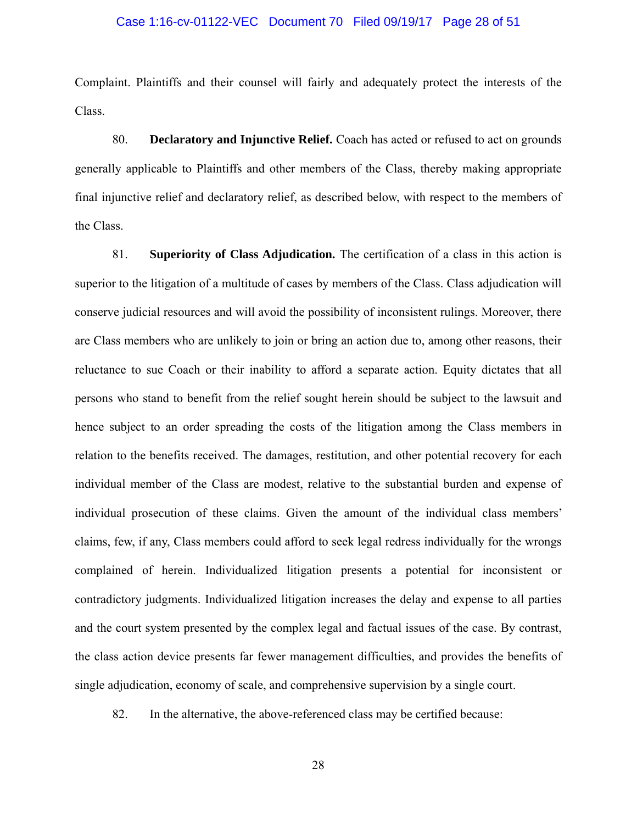#### Case 1:16-cv-01122-VEC Document 70 Filed 09/19/17 Page 28 of 51

Complaint. Plaintiffs and their counsel will fairly and adequately protect the interests of the Class.

80. **Declaratory and Injunctive Relief.** Coach has acted or refused to act on grounds generally applicable to Plaintiffs and other members of the Class, thereby making appropriate final injunctive relief and declaratory relief, as described below, with respect to the members of the Class.

81. **Superiority of Class Adjudication.** The certification of a class in this action is superior to the litigation of a multitude of cases by members of the Class. Class adjudication will conserve judicial resources and will avoid the possibility of inconsistent rulings. Moreover, there are Class members who are unlikely to join or bring an action due to, among other reasons, their reluctance to sue Coach or their inability to afford a separate action. Equity dictates that all persons who stand to benefit from the relief sought herein should be subject to the lawsuit and hence subject to an order spreading the costs of the litigation among the Class members in relation to the benefits received. The damages, restitution, and other potential recovery for each individual member of the Class are modest, relative to the substantial burden and expense of individual prosecution of these claims. Given the amount of the individual class members' claims, few, if any, Class members could afford to seek legal redress individually for the wrongs complained of herein. Individualized litigation presents a potential for inconsistent or contradictory judgments. Individualized litigation increases the delay and expense to all parties and the court system presented by the complex legal and factual issues of the case. By contrast, the class action device presents far fewer management difficulties, and provides the benefits of single adjudication, economy of scale, and comprehensive supervision by a single court.

82. In the alternative, the above-referenced class may be certified because: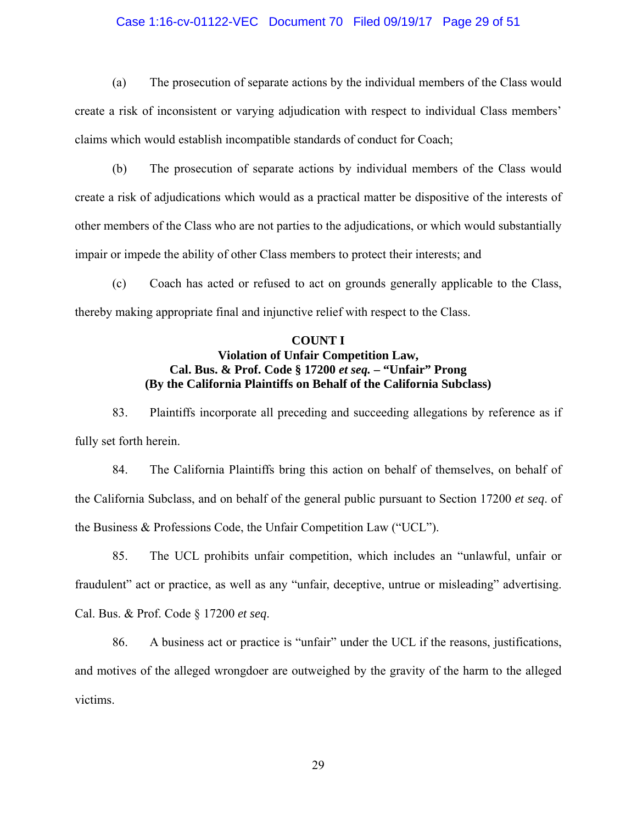#### Case 1:16-cv-01122-VEC Document 70 Filed 09/19/17 Page 29 of 51

(a) The prosecution of separate actions by the individual members of the Class would create a risk of inconsistent or varying adjudication with respect to individual Class members' claims which would establish incompatible standards of conduct for Coach;

(b) The prosecution of separate actions by individual members of the Class would create a risk of adjudications which would as a practical matter be dispositive of the interests of other members of the Class who are not parties to the adjudications, or which would substantially impair or impede the ability of other Class members to protect their interests; and

(c) Coach has acted or refused to act on grounds generally applicable to the Class, thereby making appropriate final and injunctive relief with respect to the Class.

# **COUNT I Violation of Unfair Competition Law, Cal. Bus. & Prof. Code § 17200** *et seq.* **– "Unfair" Prong (By the California Plaintiffs on Behalf of the California Subclass)**

83. Plaintiffs incorporate all preceding and succeeding allegations by reference as if fully set forth herein.

84. The California Plaintiffs bring this action on behalf of themselves, on behalf of the California Subclass, and on behalf of the general public pursuant to Section 17200 *et seq*. of the Business & Professions Code, the Unfair Competition Law ("UCL").

85. The UCL prohibits unfair competition, which includes an "unlawful, unfair or fraudulent" act or practice, as well as any "unfair, deceptive, untrue or misleading" advertising. Cal. Bus. & Prof. Code § 17200 *et seq*.

86. A business act or practice is "unfair" under the UCL if the reasons, justifications, and motives of the alleged wrongdoer are outweighed by the gravity of the harm to the alleged victims.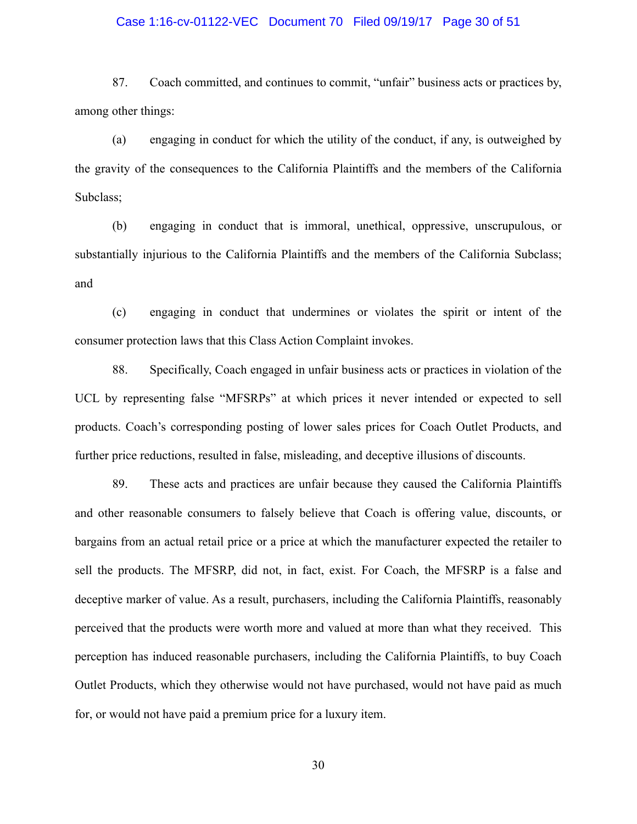#### Case 1:16-cv-01122-VEC Document 70 Filed 09/19/17 Page 30 of 51

87. Coach committed, and continues to commit, "unfair" business acts or practices by, among other things:

(a) engaging in conduct for which the utility of the conduct, if any, is outweighed by the gravity of the consequences to the California Plaintiffs and the members of the California Subclass;

(b) engaging in conduct that is immoral, unethical, oppressive, unscrupulous, or substantially injurious to the California Plaintiffs and the members of the California Subclass; and

(c) engaging in conduct that undermines or violates the spirit or intent of the consumer protection laws that this Class Action Complaint invokes.

88. Specifically, Coach engaged in unfair business acts or practices in violation of the UCL by representing false "MFSRPs" at which prices it never intended or expected to sell products. Coach's corresponding posting of lower sales prices for Coach Outlet Products, and further price reductions, resulted in false, misleading, and deceptive illusions of discounts.

89. These acts and practices are unfair because they caused the California Plaintiffs and other reasonable consumers to falsely believe that Coach is offering value, discounts, or bargains from an actual retail price or a price at which the manufacturer expected the retailer to sell the products. The MFSRP, did not, in fact, exist. For Coach, the MFSRP is a false and deceptive marker of value. As a result, purchasers, including the California Plaintiffs, reasonably perceived that the products were worth more and valued at more than what they received. This perception has induced reasonable purchasers, including the California Plaintiffs, to buy Coach Outlet Products, which they otherwise would not have purchased, would not have paid as much for, or would not have paid a premium price for a luxury item.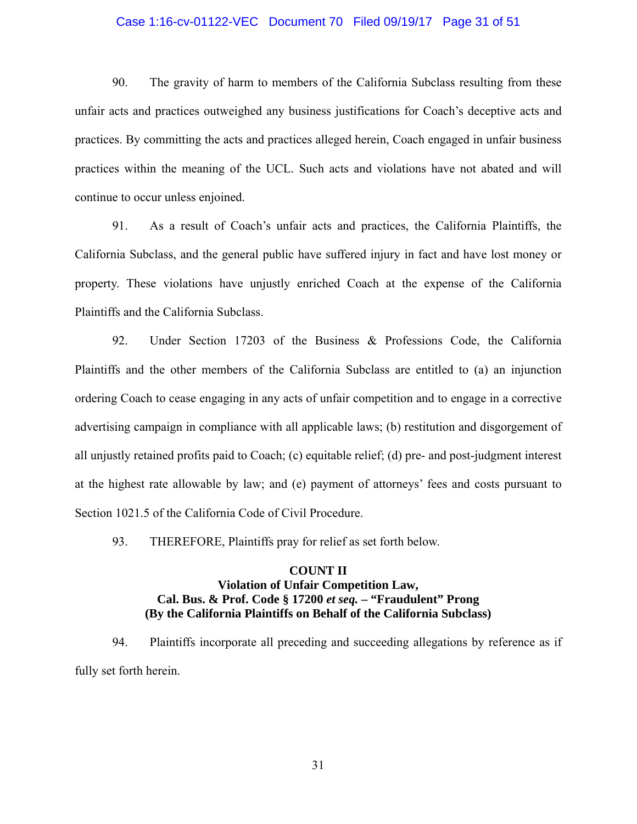#### Case 1:16-cv-01122-VEC Document 70 Filed 09/19/17 Page 31 of 51

90. The gravity of harm to members of the California Subclass resulting from these unfair acts and practices outweighed any business justifications for Coach's deceptive acts and practices. By committing the acts and practices alleged herein, Coach engaged in unfair business practices within the meaning of the UCL. Such acts and violations have not abated and will continue to occur unless enjoined.

91. As a result of Coach's unfair acts and practices, the California Plaintiffs, the California Subclass, and the general public have suffered injury in fact and have lost money or property. These violations have unjustly enriched Coach at the expense of the California Plaintiffs and the California Subclass.

92. Under Section 17203 of the Business & Professions Code, the California Plaintiffs and the other members of the California Subclass are entitled to (a) an injunction ordering Coach to cease engaging in any acts of unfair competition and to engage in a corrective advertising campaign in compliance with all applicable laws; (b) restitution and disgorgement of all unjustly retained profits paid to Coach; (c) equitable relief; (d) pre- and post-judgment interest at the highest rate allowable by law; and (e) payment of attorneys' fees and costs pursuant to Section 1021.5 of the California Code of Civil Procedure.

93. THEREFORE, Plaintiffs pray for relief as set forth below.

#### **COUNT II**

# **Violation of Unfair Competition Law, Cal. Bus. & Prof. Code § 17200** *et seq.* **– "Fraudulent" Prong (By the California Plaintiffs on Behalf of the California Subclass)**

94. Plaintiffs incorporate all preceding and succeeding allegations by reference as if fully set forth herein.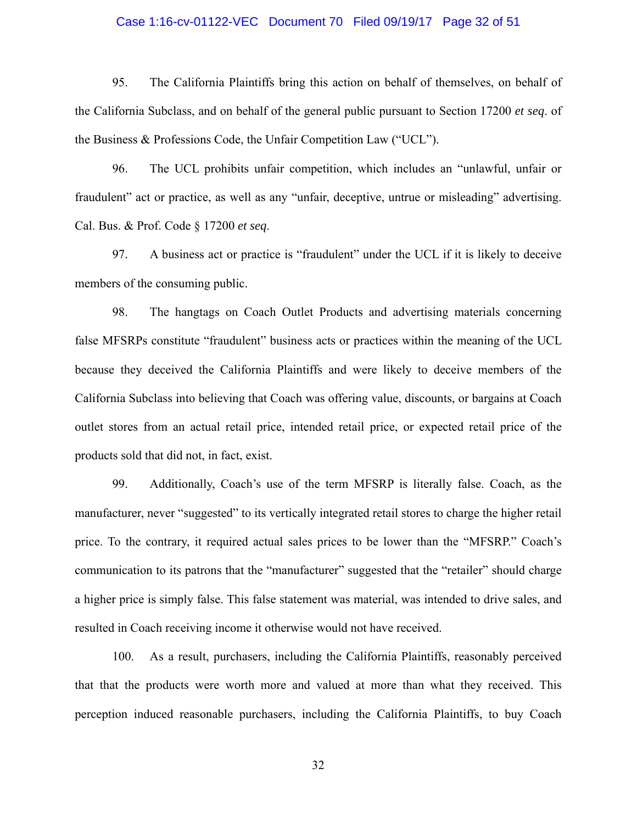#### Case 1:16-cv-01122-VEC Document 70 Filed 09/19/17 Page 32 of 51

95. The California Plaintiffs bring this action on behalf of themselves, on behalf of the California Subclass, and on behalf of the general public pursuant to Section 17200 *et seq*. of the Business & Professions Code, the Unfair Competition Law ("UCL").

96. The UCL prohibits unfair competition, which includes an "unlawful, unfair or fraudulent" act or practice, as well as any "unfair, deceptive, untrue or misleading" advertising. Cal. Bus. & Prof. Code § 17200 *et seq*.

97. A business act or practice is "fraudulent" under the UCL if it is likely to deceive members of the consuming public.

98. The hangtags on Coach Outlet Products and advertising materials concerning false MFSRPs constitute "fraudulent" business acts or practices within the meaning of the UCL because they deceived the California Plaintiffs and were likely to deceive members of the California Subclass into believing that Coach was offering value, discounts, or bargains at Coach outlet stores from an actual retail price, intended retail price, or expected retail price of the products sold that did not, in fact, exist.

99. Additionally, Coach's use of the term MFSRP is literally false. Coach, as the manufacturer, never "suggested" to its vertically integrated retail stores to charge the higher retail price. To the contrary, it required actual sales prices to be lower than the "MFSRP." Coach's communication to its patrons that the "manufacturer" suggested that the "retailer" should charge a higher price is simply false. This false statement was material, was intended to drive sales, and resulted in Coach receiving income it otherwise would not have received.

100. As a result, purchasers, including the California Plaintiffs, reasonably perceived that that the products were worth more and valued at more than what they received. This perception induced reasonable purchasers, including the California Plaintiffs, to buy Coach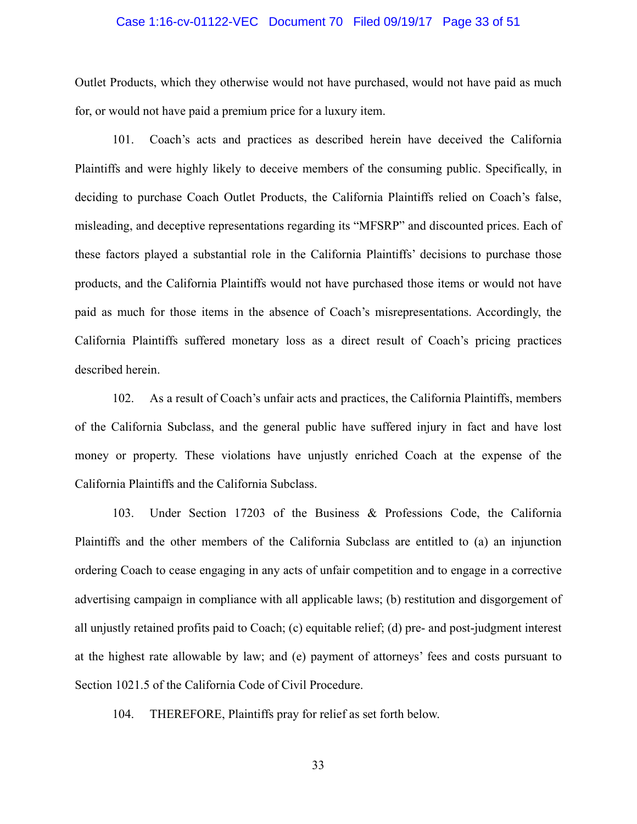#### Case 1:16-cv-01122-VEC Document 70 Filed 09/19/17 Page 33 of 51

Outlet Products, which they otherwise would not have purchased, would not have paid as much for, or would not have paid a premium price for a luxury item.

101. Coach's acts and practices as described herein have deceived the California Plaintiffs and were highly likely to deceive members of the consuming public. Specifically, in deciding to purchase Coach Outlet Products, the California Plaintiffs relied on Coach's false, misleading, and deceptive representations regarding its "MFSRP" and discounted prices. Each of these factors played a substantial role in the California Plaintiffs' decisions to purchase those products, and the California Plaintiffs would not have purchased those items or would not have paid as much for those items in the absence of Coach's misrepresentations. Accordingly, the California Plaintiffs suffered monetary loss as a direct result of Coach's pricing practices described herein.

102. As a result of Coach's unfair acts and practices, the California Plaintiffs, members of the California Subclass, and the general public have suffered injury in fact and have lost money or property. These violations have unjustly enriched Coach at the expense of the California Plaintiffs and the California Subclass.

103. Under Section 17203 of the Business & Professions Code, the California Plaintiffs and the other members of the California Subclass are entitled to (a) an injunction ordering Coach to cease engaging in any acts of unfair competition and to engage in a corrective advertising campaign in compliance with all applicable laws; (b) restitution and disgorgement of all unjustly retained profits paid to Coach; (c) equitable relief; (d) pre- and post-judgment interest at the highest rate allowable by law; and (e) payment of attorneys' fees and costs pursuant to Section 1021.5 of the California Code of Civil Procedure.

104. THEREFORE, Plaintiffs pray for relief as set forth below.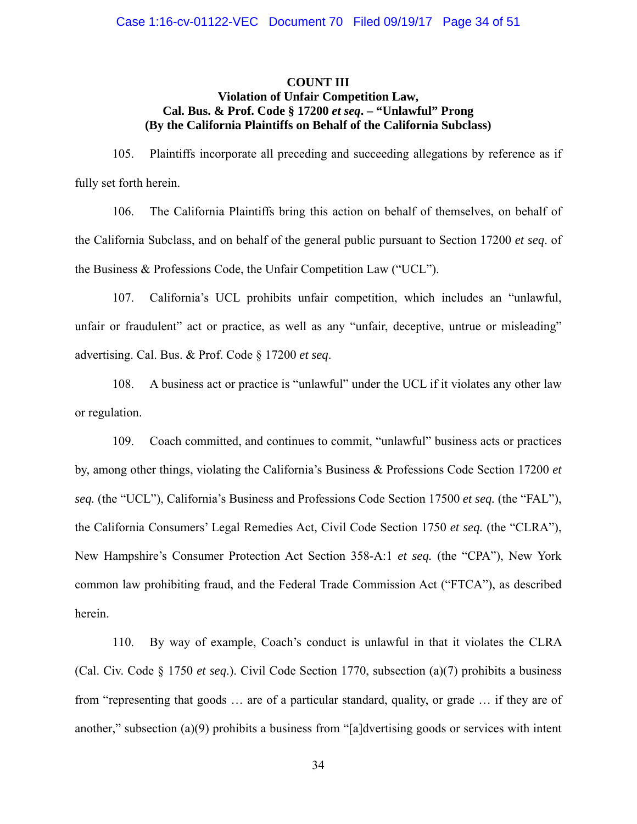# **COUNT III Violation of Unfair Competition Law, Cal. Bus. & Prof. Code § 17200** *et seq***. – "Unlawful" Prong (By the California Plaintiffs on Behalf of the California Subclass)**

105. Plaintiffs incorporate all preceding and succeeding allegations by reference as if fully set forth herein.

106. The California Plaintiffs bring this action on behalf of themselves, on behalf of the California Subclass, and on behalf of the general public pursuant to Section 17200 *et seq*. of the Business & Professions Code, the Unfair Competition Law ("UCL").

107. California's UCL prohibits unfair competition, which includes an "unlawful, unfair or fraudulent" act or practice, as well as any "unfair, deceptive, untrue or misleading" advertising. Cal. Bus. & Prof. Code § 17200 *et seq*.

108. A business act or practice is "unlawful" under the UCL if it violates any other law or regulation.

109. Coach committed, and continues to commit, "unlawful" business acts or practices by, among other things, violating the California's Business & Professions Code Section 17200 *et seq.* (the "UCL"), California's Business and Professions Code Section 17500 *et seq.* (the "FAL"), the California Consumers' Legal Remedies Act, Civil Code Section 1750 *et seq.* (the "CLRA"), New Hampshire's Consumer Protection Act Section 358-A:1 *et seq.* (the "CPA"), New York common law prohibiting fraud, and the Federal Trade Commission Act ("FTCA"), as described herein.

110. By way of example, Coach's conduct is unlawful in that it violates the CLRA (Cal. Civ. Code § 1750 *et seq*.). Civil Code Section 1770, subsection (a)(7) prohibits a business from "representing that goods … are of a particular standard, quality, or grade … if they are of another," subsection (a)(9) prohibits a business from "[a]dvertising goods or services with intent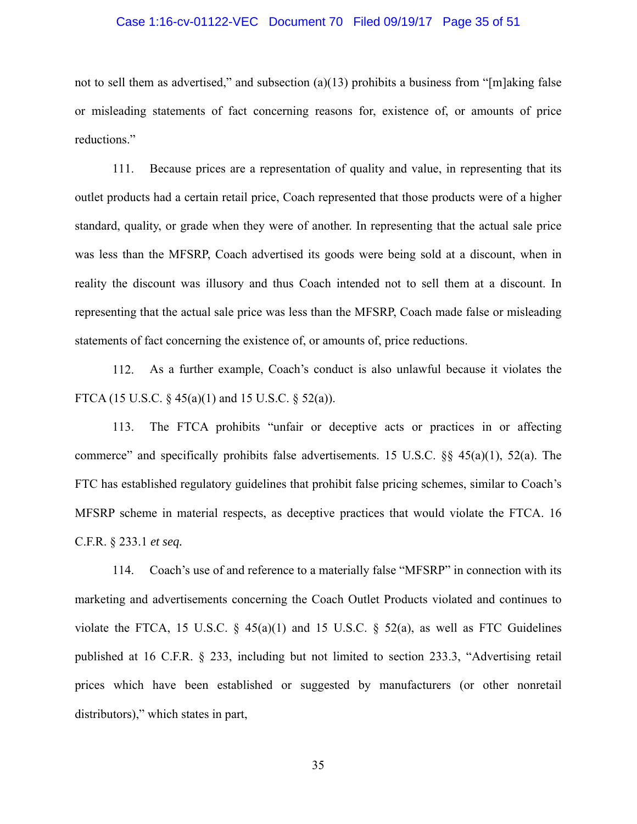#### Case 1:16-cv-01122-VEC Document 70 Filed 09/19/17 Page 35 of 51

not to sell them as advertised," and subsection (a)(13) prohibits a business from "[m]aking false or misleading statements of fact concerning reasons for, existence of, or amounts of price reductions."

111. Because prices are a representation of quality and value, in representing that its outlet products had a certain retail price, Coach represented that those products were of a higher standard, quality, or grade when they were of another. In representing that the actual sale price was less than the MFSRP, Coach advertised its goods were being sold at a discount, when in reality the discount was illusory and thus Coach intended not to sell them at a discount. In representing that the actual sale price was less than the MFSRP, Coach made false or misleading statements of fact concerning the existence of, or amounts of, price reductions.

112. As a further example, Coach's conduct is also unlawful because it violates the FTCA (15 U.S.C.  $\S$  45(a)(1) and 15 U.S.C.  $\S$  52(a)).

113. The FTCA prohibits "unfair or deceptive acts or practices in or affecting commerce" and specifically prohibits false advertisements. 15 U.S.C. §§ 45(a)(1), 52(a). The FTC has established regulatory guidelines that prohibit false pricing schemes, similar to Coach's MFSRP scheme in material respects, as deceptive practices that would violate the FTCA. 16 C.F.R. § 233.1 *et seq.*

114. Coach's use of and reference to a materially false "MFSRP" in connection with its marketing and advertisements concerning the Coach Outlet Products violated and continues to violate the FTCA, 15 U.S.C.  $\&$  45(a)(1) and 15 U.S.C.  $\&$  52(a), as well as FTC Guidelines published at 16 C.F.R. § 233, including but not limited to section 233.3, "Advertising retail prices which have been established or suggested by manufacturers (or other nonretail distributors)," which states in part,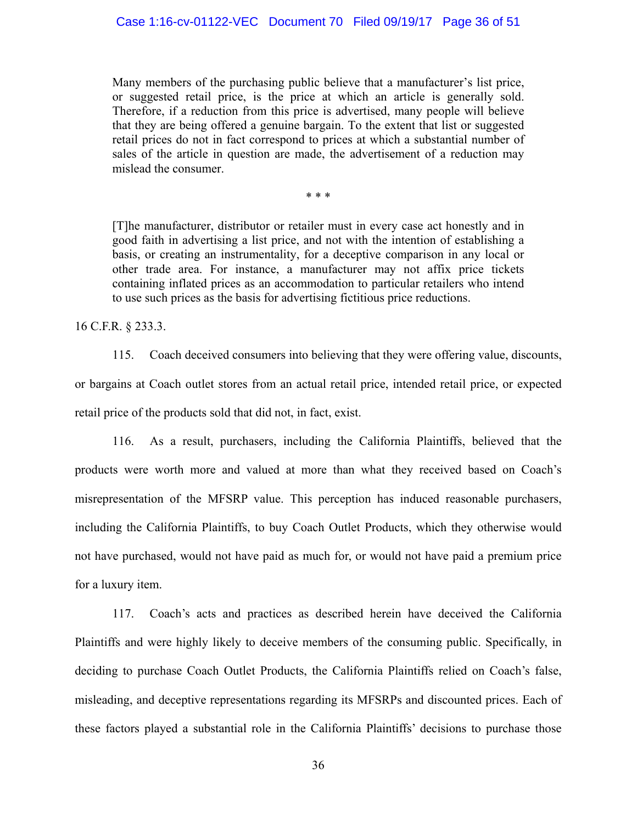Many members of the purchasing public believe that a manufacturer's list price, or suggested retail price, is the price at which an article is generally sold. Therefore, if a reduction from this price is advertised, many people will believe that they are being offered a genuine bargain. To the extent that list or suggested retail prices do not in fact correspond to prices at which a substantial number of sales of the article in question are made, the advertisement of a reduction may mislead the consumer.

\* \* \*

[T]he manufacturer, distributor or retailer must in every case act honestly and in good faith in advertising a list price, and not with the intention of establishing a basis, or creating an instrumentality, for a deceptive comparison in any local or other trade area. For instance, a manufacturer may not affix price tickets containing inflated prices as an accommodation to particular retailers who intend to use such prices as the basis for advertising fictitious price reductions.

16 C.F.R. § 233.3.

115. Coach deceived consumers into believing that they were offering value, discounts, or bargains at Coach outlet stores from an actual retail price, intended retail price, or expected retail price of the products sold that did not, in fact, exist.

116. As a result, purchasers, including the California Plaintiffs, believed that the products were worth more and valued at more than what they received based on Coach's misrepresentation of the MFSRP value. This perception has induced reasonable purchasers, including the California Plaintiffs, to buy Coach Outlet Products, which they otherwise would not have purchased, would not have paid as much for, or would not have paid a premium price for a luxury item.

117. Coach's acts and practices as described herein have deceived the California Plaintiffs and were highly likely to deceive members of the consuming public. Specifically, in deciding to purchase Coach Outlet Products, the California Plaintiffs relied on Coach's false, misleading, and deceptive representations regarding its MFSRPs and discounted prices. Each of these factors played a substantial role in the California Plaintiffs' decisions to purchase those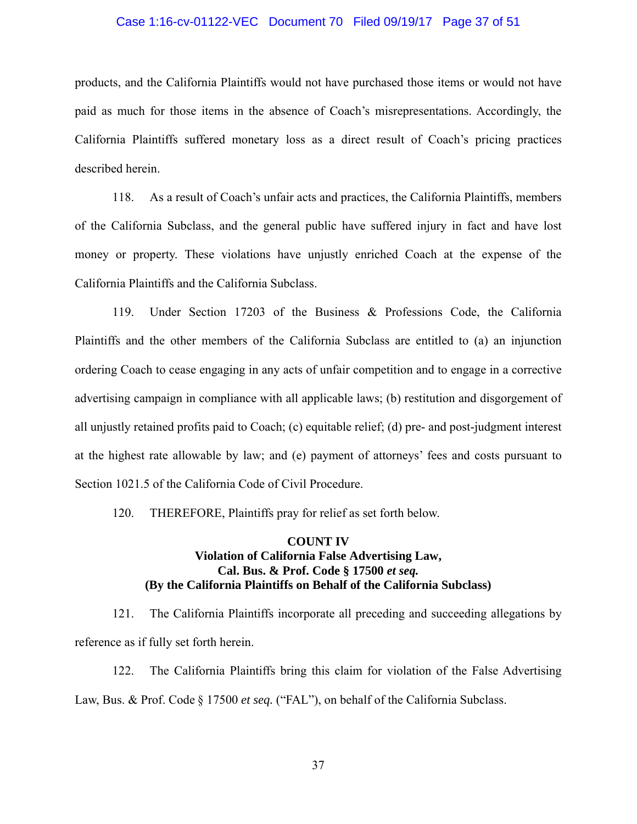#### Case 1:16-cv-01122-VEC Document 70 Filed 09/19/17 Page 37 of 51

products, and the California Plaintiffs would not have purchased those items or would not have paid as much for those items in the absence of Coach's misrepresentations. Accordingly, the California Plaintiffs suffered monetary loss as a direct result of Coach's pricing practices described herein.

118. As a result of Coach's unfair acts and practices, the California Plaintiffs, members of the California Subclass, and the general public have suffered injury in fact and have lost money or property. These violations have unjustly enriched Coach at the expense of the California Plaintiffs and the California Subclass.

119. Under Section 17203 of the Business & Professions Code, the California Plaintiffs and the other members of the California Subclass are entitled to (a) an injunction ordering Coach to cease engaging in any acts of unfair competition and to engage in a corrective advertising campaign in compliance with all applicable laws; (b) restitution and disgorgement of all unjustly retained profits paid to Coach; (c) equitable relief; (d) pre- and post-judgment interest at the highest rate allowable by law; and (e) payment of attorneys' fees and costs pursuant to Section 1021.5 of the California Code of Civil Procedure.

120. THEREFORE, Plaintiffs pray for relief as set forth below.

# **COUNT IV Violation of California False Advertising Law, Cal. Bus. & Prof. Code § 17500** *et seq.* **(By the California Plaintiffs on Behalf of the California Subclass)**

121. The California Plaintiffs incorporate all preceding and succeeding allegations by reference as if fully set forth herein.

122. The California Plaintiffs bring this claim for violation of the False Advertising Law, Bus. & Prof. Code § 17500 *et seq.* ("FAL"), on behalf of the California Subclass.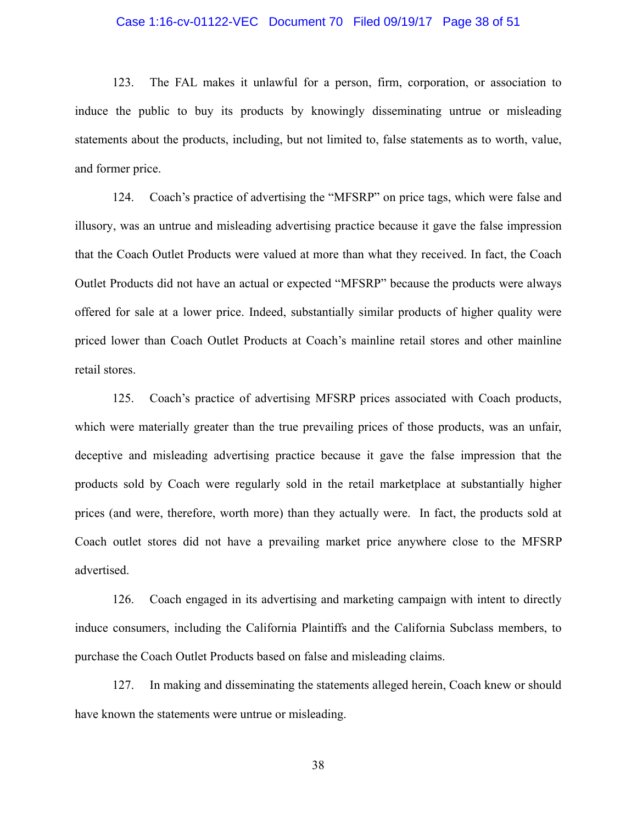#### Case 1:16-cv-01122-VEC Document 70 Filed 09/19/17 Page 38 of 51

123. The FAL makes it unlawful for a person, firm, corporation, or association to induce the public to buy its products by knowingly disseminating untrue or misleading statements about the products, including, but not limited to, false statements as to worth, value, and former price.

124. Coach's practice of advertising the "MFSRP" on price tags, which were false and illusory, was an untrue and misleading advertising practice because it gave the false impression that the Coach Outlet Products were valued at more than what they received. In fact, the Coach Outlet Products did not have an actual or expected "MFSRP" because the products were always offered for sale at a lower price. Indeed, substantially similar products of higher quality were priced lower than Coach Outlet Products at Coach's mainline retail stores and other mainline retail stores.

125. Coach's practice of advertising MFSRP prices associated with Coach products, which were materially greater than the true prevailing prices of those products, was an unfair, deceptive and misleading advertising practice because it gave the false impression that the products sold by Coach were regularly sold in the retail marketplace at substantially higher prices (and were, therefore, worth more) than they actually were. In fact, the products sold at Coach outlet stores did not have a prevailing market price anywhere close to the MFSRP advertised.

126. Coach engaged in its advertising and marketing campaign with intent to directly induce consumers, including the California Plaintiffs and the California Subclass members, to purchase the Coach Outlet Products based on false and misleading claims.

127. In making and disseminating the statements alleged herein, Coach knew or should have known the statements were untrue or misleading.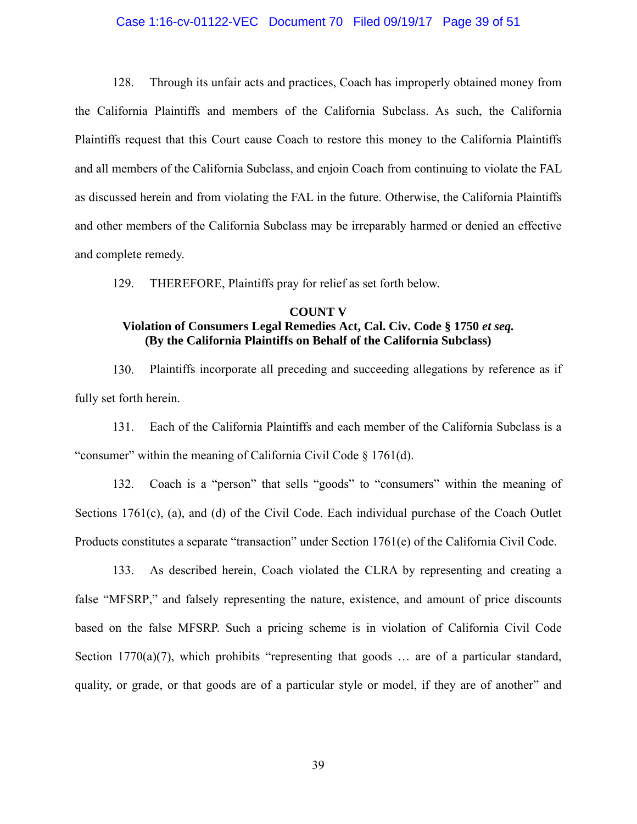#### Case 1:16-cv-01122-VEC Document 70 Filed 09/19/17 Page 39 of 51

128. Through its unfair acts and practices, Coach has improperly obtained money from the California Plaintiffs and members of the California Subclass. As such, the California Plaintiffs request that this Court cause Coach to restore this money to the California Plaintiffs and all members of the California Subclass, and enjoin Coach from continuing to violate the FAL as discussed herein and from violating the FAL in the future. Otherwise, the California Plaintiffs and other members of the California Subclass may be irreparably harmed or denied an effective and complete remedy.

129. THEREFORE, Plaintiffs pray for relief as set forth below.

# **COUNT V Violation of Consumers Legal Remedies Act, Cal. Civ. Code § 1750** *et seq.* **(By the California Plaintiffs on Behalf of the California Subclass)**

130. Plaintiffs incorporate all preceding and succeeding allegations by reference as if fully set forth herein.

131. Each of the California Plaintiffs and each member of the California Subclass is a "consumer" within the meaning of California Civil Code § 1761(d).

132. Coach is a "person" that sells "goods" to "consumers" within the meaning of Sections 1761(c), (a), and (d) of the Civil Code. Each individual purchase of the Coach Outlet Products constitutes a separate "transaction" under Section 1761(e) of the California Civil Code.

133. As described herein, Coach violated the CLRA by representing and creating a false "MFSRP," and falsely representing the nature, existence, and amount of price discounts based on the false MFSRP. Such a pricing scheme is in violation of California Civil Code Section 1770(a)(7), which prohibits "representing that goods  $\ldots$  are of a particular standard, quality, or grade, or that goods are of a particular style or model, if they are of another" and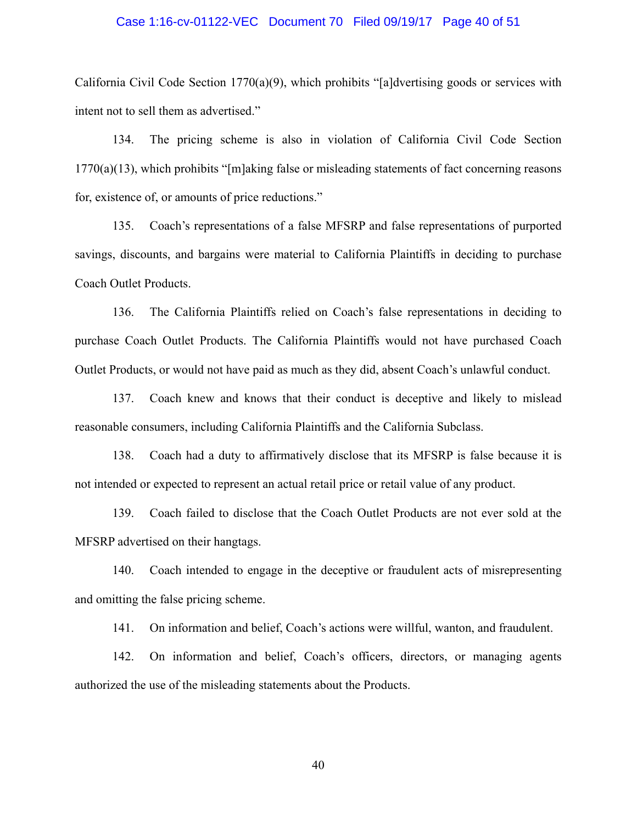#### Case 1:16-cv-01122-VEC Document 70 Filed 09/19/17 Page 40 of 51

California Civil Code Section 1770(a)(9), which prohibits "[a]dvertising goods or services with intent not to sell them as advertised."

134. The pricing scheme is also in violation of California Civil Code Section 1770(a)(13), which prohibits "[m]aking false or misleading statements of fact concerning reasons for, existence of, or amounts of price reductions."

135. Coach's representations of a false MFSRP and false representations of purported savings, discounts, and bargains were material to California Plaintiffs in deciding to purchase Coach Outlet Products.

136. The California Plaintiffs relied on Coach's false representations in deciding to purchase Coach Outlet Products. The California Plaintiffs would not have purchased Coach Outlet Products, or would not have paid as much as they did, absent Coach's unlawful conduct.

137. Coach knew and knows that their conduct is deceptive and likely to mislead reasonable consumers, including California Plaintiffs and the California Subclass.

138. Coach had a duty to affirmatively disclose that its MFSRP is false because it is not intended or expected to represent an actual retail price or retail value of any product.

139. Coach failed to disclose that the Coach Outlet Products are not ever sold at the MFSRP advertised on their hangtags.

140. Coach intended to engage in the deceptive or fraudulent acts of misrepresenting and omitting the false pricing scheme.

141. On information and belief, Coach's actions were willful, wanton, and fraudulent.

142. On information and belief, Coach's officers, directors, or managing agents authorized the use of the misleading statements about the Products.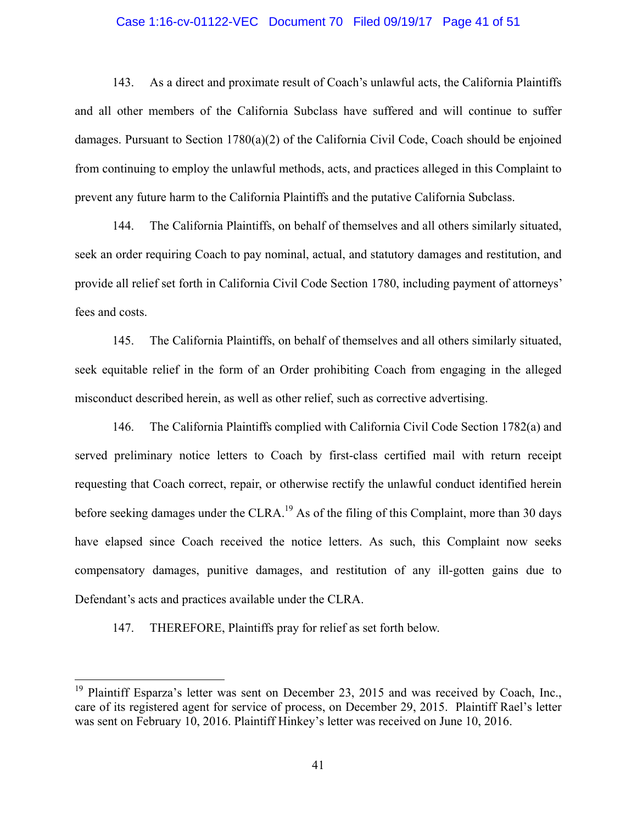#### Case 1:16-cv-01122-VEC Document 70 Filed 09/19/17 Page 41 of 51

143. As a direct and proximate result of Coach's unlawful acts, the California Plaintiffs and all other members of the California Subclass have suffered and will continue to suffer damages. Pursuant to Section 1780(a)(2) of the California Civil Code, Coach should be enjoined from continuing to employ the unlawful methods, acts, and practices alleged in this Complaint to prevent any future harm to the California Plaintiffs and the putative California Subclass.

144. The California Plaintiffs, on behalf of themselves and all others similarly situated, seek an order requiring Coach to pay nominal, actual, and statutory damages and restitution, and provide all relief set forth in California Civil Code Section 1780, including payment of attorneys' fees and costs.

145. The California Plaintiffs, on behalf of themselves and all others similarly situated, seek equitable relief in the form of an Order prohibiting Coach from engaging in the alleged misconduct described herein, as well as other relief, such as corrective advertising.

146. The California Plaintiffs complied with California Civil Code Section 1782(a) and served preliminary notice letters to Coach by first-class certified mail with return receipt requesting that Coach correct, repair, or otherwise rectify the unlawful conduct identified herein before seeking damages under the CLRA.<sup>19</sup> As of the filing of this Complaint, more than 30 days have elapsed since Coach received the notice letters. As such, this Complaint now seeks compensatory damages, punitive damages, and restitution of any ill-gotten gains due to Defendant's acts and practices available under the CLRA.

147. THEREFORE, Plaintiffs pray for relief as set forth below.

 $\overline{a}$ 

<sup>&</sup>lt;sup>19</sup> Plaintiff Esparza's letter was sent on December 23, 2015 and was received by Coach, Inc., care of its registered agent for service of process, on December 29, 2015. Plaintiff Rael's letter was sent on February 10, 2016. Plaintiff Hinkey's letter was received on June 10, 2016.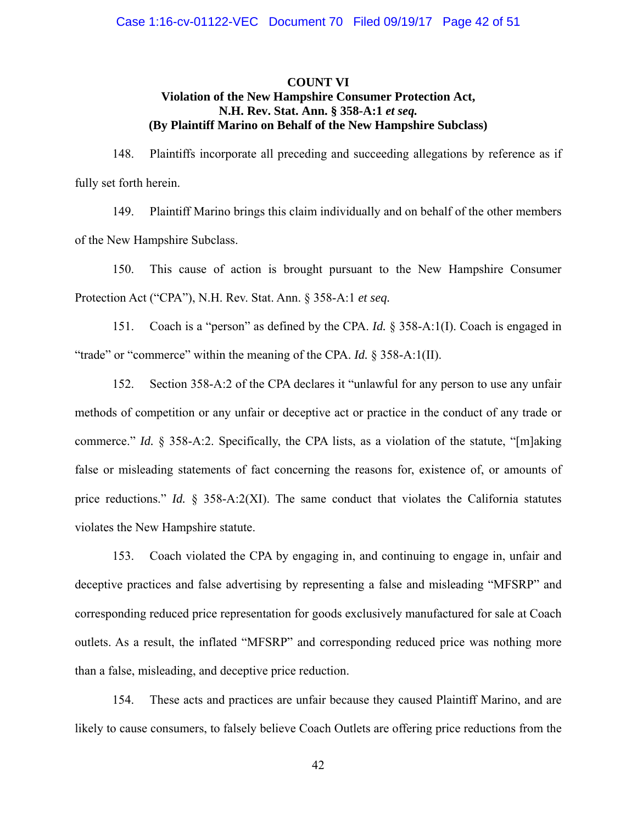# **COUNT VI Violation of the New Hampshire Consumer Protection Act, N.H. Rev. Stat. Ann. § 358-A:1** *et seq.* **(By Plaintiff Marino on Behalf of the New Hampshire Subclass)**

148. Plaintiffs incorporate all preceding and succeeding allegations by reference as if fully set forth herein.

149. Plaintiff Marino brings this claim individually and on behalf of the other members of the New Hampshire Subclass.

150. This cause of action is brought pursuant to the New Hampshire Consumer Protection Act ("CPA"), N.H. Rev. Stat. Ann. § 358-A:1 *et seq.*

151. Coach is a "person" as defined by the CPA. *Id.* § 358-A:1(I). Coach is engaged in "trade" or "commerce" within the meaning of the CPA. *Id.* § 358-A:1(II).

152. Section 358-A:2 of the CPA declares it "unlawful for any person to use any unfair methods of competition or any unfair or deceptive act or practice in the conduct of any trade or commerce." *Id.* § 358-A:2. Specifically, the CPA lists, as a violation of the statute, "[m]aking false or misleading statements of fact concerning the reasons for, existence of, or amounts of price reductions." *Id.* § 358-A:2(XI). The same conduct that violates the California statutes violates the New Hampshire statute.

153. Coach violated the CPA by engaging in, and continuing to engage in, unfair and deceptive practices and false advertising by representing a false and misleading "MFSRP" and corresponding reduced price representation for goods exclusively manufactured for sale at Coach outlets. As a result, the inflated "MFSRP" and corresponding reduced price was nothing more than a false, misleading, and deceptive price reduction.

154. These acts and practices are unfair because they caused Plaintiff Marino, and are likely to cause consumers, to falsely believe Coach Outlets are offering price reductions from the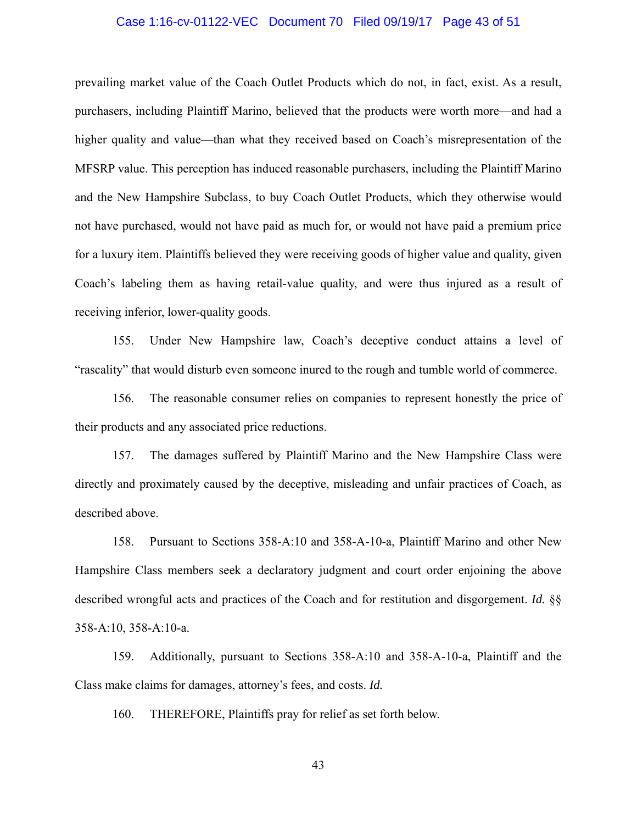#### Case 1:16-cv-01122-VEC Document 70 Filed 09/19/17 Page 43 of 51

prevailing market value of the Coach Outlet Products which do not, in fact, exist. As a result, purchasers, including Plaintiff Marino, believed that the products were worth more—and had a higher quality and value—than what they received based on Coach's misrepresentation of the MFSRP value. This perception has induced reasonable purchasers, including the Plaintiff Marino and the New Hampshire Subclass, to buy Coach Outlet Products, which they otherwise would not have purchased, would not have paid as much for, or would not have paid a premium price for a luxury item. Plaintiffs believed they were receiving goods of higher value and quality, given Coach's labeling them as having retail-value quality, and were thus injured as a result of receiving inferior, lower-quality goods.

155. Under New Hampshire law, Coach's deceptive conduct attains a level of "rascality" that would disturb even someone inured to the rough and tumble world of commerce.

156. The reasonable consumer relies on companies to represent honestly the price of their products and any associated price reductions.

157. The damages suffered by Plaintiff Marino and the New Hampshire Class were directly and proximately caused by the deceptive, misleading and unfair practices of Coach, as described above.

158. Pursuant to Sections 358-A:10 and 358-A-10-a, Plaintiff Marino and other New Hampshire Class members seek a declaratory judgment and court order enjoining the above described wrongful acts and practices of the Coach and for restitution and disgorgement. *Id.* §§ 358-A:10, 358-A:10-a.

159. Additionally, pursuant to Sections 358-A:10 and 358-A-10-a, Plaintiff and the Class make claims for damages, attorney's fees, and costs. *Id.*

160. THEREFORE, Plaintiffs pray for relief as set forth below.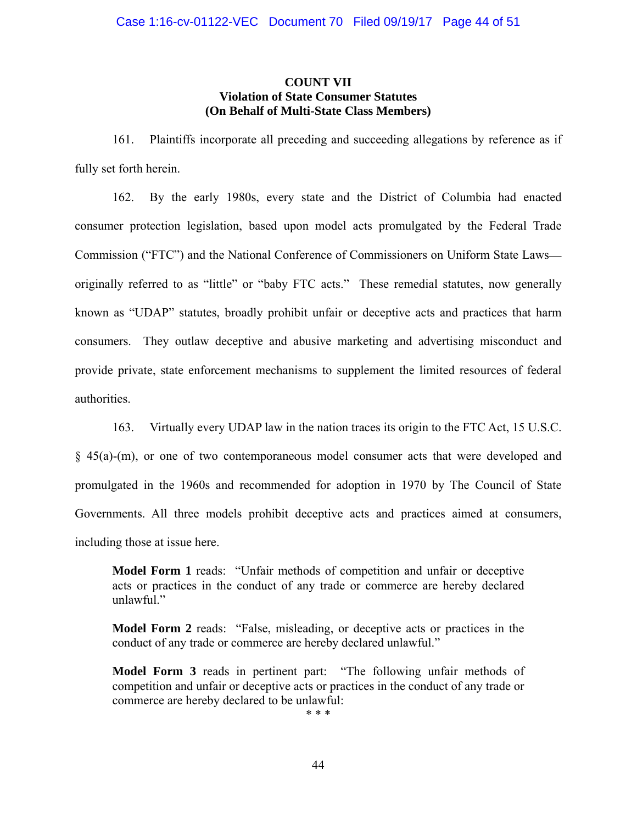# **COUNT VII Violation of State Consumer Statutes (On Behalf of Multi-State Class Members)**

161. Plaintiffs incorporate all preceding and succeeding allegations by reference as if fully set forth herein.

162. By the early 1980s, every state and the District of Columbia had enacted consumer protection legislation, based upon model acts promulgated by the Federal Trade Commission ("FTC") and the National Conference of Commissioners on Uniform State Laws originally referred to as "little" or "baby FTC acts." These remedial statutes, now generally known as "UDAP" statutes, broadly prohibit unfair or deceptive acts and practices that harm consumers. They outlaw deceptive and abusive marketing and advertising misconduct and provide private, state enforcement mechanisms to supplement the limited resources of federal authorities.

163. Virtually every UDAP law in the nation traces its origin to the FTC Act, 15 U.S.C. § 45(a)-(m), or one of two contemporaneous model consumer acts that were developed and promulgated in the 1960s and recommended for adoption in 1970 by The Council of State Governments. All three models prohibit deceptive acts and practices aimed at consumers, including those at issue here.

**Model Form 1** reads: "Unfair methods of competition and unfair or deceptive acts or practices in the conduct of any trade or commerce are hereby declared unlawful."

**Model Form 2** reads: "False, misleading, or deceptive acts or practices in the conduct of any trade or commerce are hereby declared unlawful."

**Model Form 3** reads in pertinent part: "The following unfair methods of competition and unfair or deceptive acts or practices in the conduct of any trade or commerce are hereby declared to be unlawful:

\* \* \*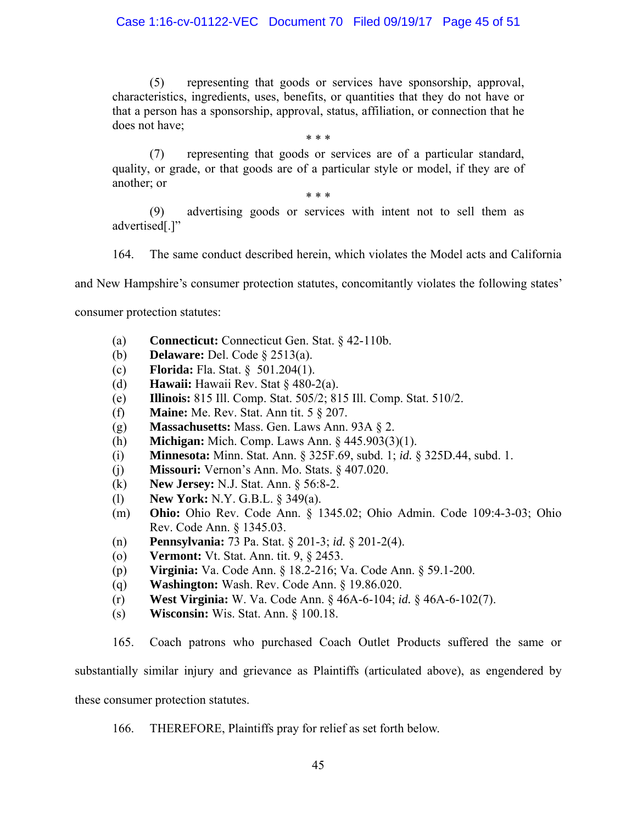(5) representing that goods or services have sponsorship, approval, characteristics, ingredients, uses, benefits, or quantities that they do not have or that a person has a sponsorship, approval, status, affiliation, or connection that he does not have;

\* \* \*

(7) representing that goods or services are of a particular standard, quality, or grade, or that goods are of a particular style or model, if they are of another; or

\* \* \*

(9) advertising goods or services with intent not to sell them as advertised[.]"

164. The same conduct described herein, which violates the Model acts and California

and New Hampshire's consumer protection statutes, concomitantly violates the following states'

consumer protection statutes:

- (a) **Connecticut:** Connecticut Gen. Stat. § 42-110b.
- (b) **Delaware:** Del. Code § 2513(a).
- (c) **Florida:** Fla. Stat. § 501.204(1).
- (d) **Hawaii:** Hawaii Rev. Stat § 480-2(a).
- (e) **Illinois:** 815 Ill. Comp. Stat. 505/2; 815 Ill. Comp. Stat. 510/2.
- (f) **Maine:** Me. Rev. Stat. Ann tit. 5 § 207.
- (g) **Massachusetts:** Mass. Gen. Laws Ann. 93A § 2.
- (h) **Michigan:** Mich. Comp. Laws Ann. § 445.903(3)(1).
- (i) **Minnesota:** Minn. Stat. Ann. § 325F.69, subd. 1; *id.* § 325D.44, subd. 1.
- (j) **Missouri:** Vernon's Ann. Mo. Stats. § 407.020.
- (k) **New Jersey:** N.J. Stat. Ann. § 56:8-2.
- (l) **New York:** N.Y. G.B.L. § 349(a).
- (m) **Ohio:** Ohio Rev. Code Ann. § 1345.02; Ohio Admin. Code 109:4-3-03; Ohio Rev. Code Ann. § 1345.03.
- (n) **Pennsylvania:** 73 Pa. Stat. § 201-3; *id.* § 201-2(4).
- (o) **Vermont:** Vt. Stat. Ann. tit. 9, § 2453.
- (p) **Virginia:** Va. Code Ann. § 18.2-216; Va. Code Ann. § 59.1-200.
- (q) **Washington:** Wash. Rev. Code Ann. § 19.86.020.
- (r) **West Virginia:** W. Va. Code Ann. § 46A-6-104; *id.* § 46A-6-102(7).
- (s) **Wisconsin:** Wis. Stat. Ann. § 100.18.
- 165. Coach patrons who purchased Coach Outlet Products suffered the same or

substantially similar injury and grievance as Plaintiffs (articulated above), as engendered by

these consumer protection statutes.

166. THEREFORE, Plaintiffs pray for relief as set forth below.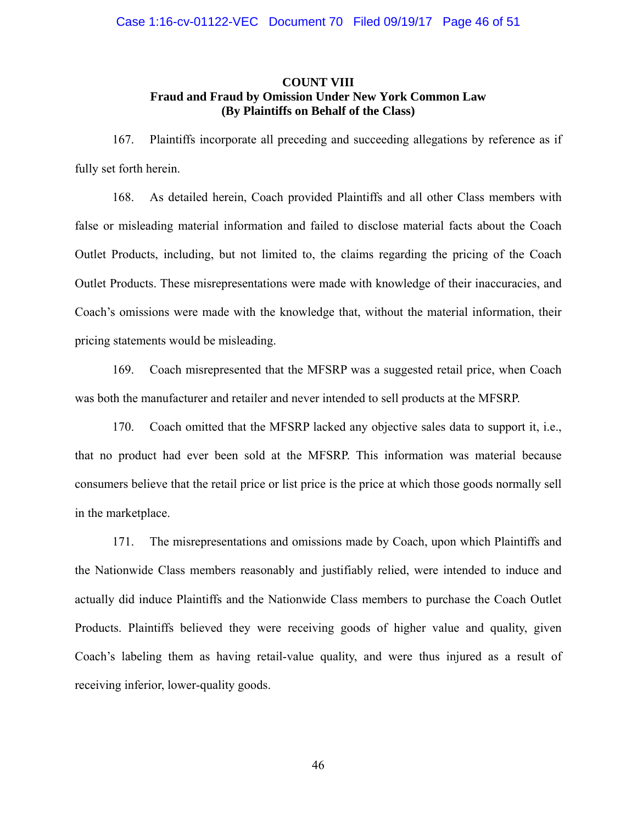# **COUNT VIII Fraud and Fraud by Omission Under New York Common Law (By Plaintiffs on Behalf of the Class)**

167. Plaintiffs incorporate all preceding and succeeding allegations by reference as if fully set forth herein.

168. As detailed herein, Coach provided Plaintiffs and all other Class members with false or misleading material information and failed to disclose material facts about the Coach Outlet Products, including, but not limited to, the claims regarding the pricing of the Coach Outlet Products. These misrepresentations were made with knowledge of their inaccuracies, and Coach's omissions were made with the knowledge that, without the material information, their pricing statements would be misleading.

169. Coach misrepresented that the MFSRP was a suggested retail price, when Coach was both the manufacturer and retailer and never intended to sell products at the MFSRP.

170. Coach omitted that the MFSRP lacked any objective sales data to support it, i.e., that no product had ever been sold at the MFSRP. This information was material because consumers believe that the retail price or list price is the price at which those goods normally sell in the marketplace.

171. The misrepresentations and omissions made by Coach, upon which Plaintiffs and the Nationwide Class members reasonably and justifiably relied, were intended to induce and actually did induce Plaintiffs and the Nationwide Class members to purchase the Coach Outlet Products. Plaintiffs believed they were receiving goods of higher value and quality, given Coach's labeling them as having retail-value quality, and were thus injured as a result of receiving inferior, lower-quality goods.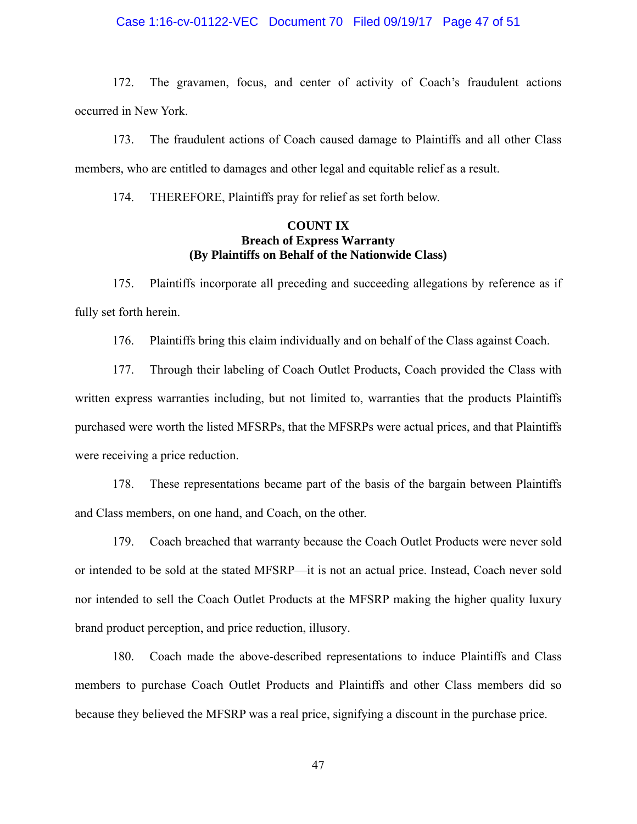#### Case 1:16-cv-01122-VEC Document 70 Filed 09/19/17 Page 47 of 51

172. The gravamen, focus, and center of activity of Coach's fraudulent actions occurred in New York.

173. The fraudulent actions of Coach caused damage to Plaintiffs and all other Class members, who are entitled to damages and other legal and equitable relief as a result.

174. THEREFORE, Plaintiffs pray for relief as set forth below.

# **COUNT IX Breach of Express Warranty (By Plaintiffs on Behalf of the Nationwide Class)**

175. Plaintiffs incorporate all preceding and succeeding allegations by reference as if fully set forth herein.

176. Plaintiffs bring this claim individually and on behalf of the Class against Coach.

177. Through their labeling of Coach Outlet Products, Coach provided the Class with written express warranties including, but not limited to, warranties that the products Plaintiffs purchased were worth the listed MFSRPs, that the MFSRPs were actual prices, and that Plaintiffs were receiving a price reduction.

178. These representations became part of the basis of the bargain between Plaintiffs and Class members, on one hand, and Coach, on the other.

179. Coach breached that warranty because the Coach Outlet Products were never sold or intended to be sold at the stated MFSRP—it is not an actual price. Instead, Coach never sold nor intended to sell the Coach Outlet Products at the MFSRP making the higher quality luxury brand product perception, and price reduction, illusory.

180. Coach made the above-described representations to induce Plaintiffs and Class members to purchase Coach Outlet Products and Plaintiffs and other Class members did so because they believed the MFSRP was a real price, signifying a discount in the purchase price.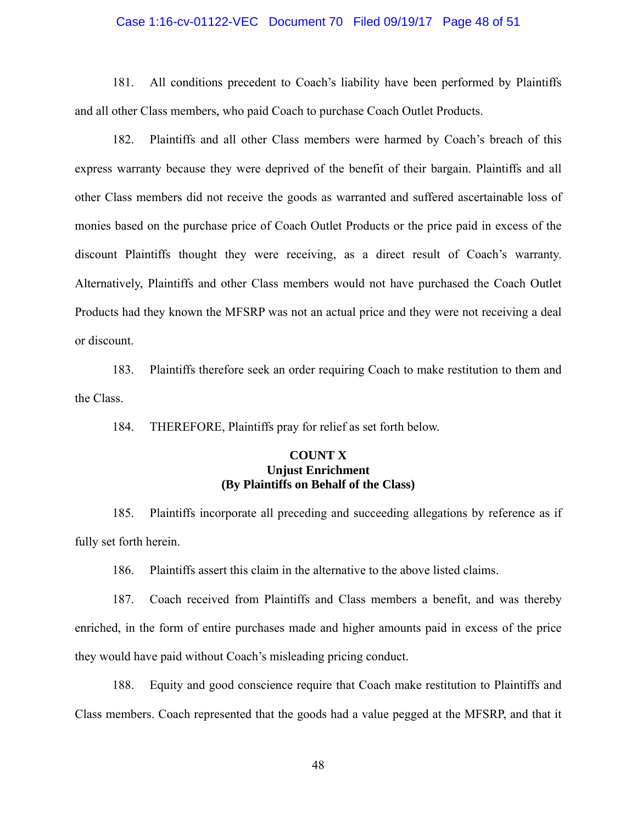#### Case 1:16-cv-01122-VEC Document 70 Filed 09/19/17 Page 48 of 51

181. All conditions precedent to Coach's liability have been performed by Plaintiffs and all other Class members, who paid Coach to purchase Coach Outlet Products.

182. Plaintiffs and all other Class members were harmed by Coach's breach of this express warranty because they were deprived of the benefit of their bargain. Plaintiffs and all other Class members did not receive the goods as warranted and suffered ascertainable loss of monies based on the purchase price of Coach Outlet Products or the price paid in excess of the discount Plaintiffs thought they were receiving, as a direct result of Coach's warranty. Alternatively, Plaintiffs and other Class members would not have purchased the Coach Outlet Products had they known the MFSRP was not an actual price and they were not receiving a deal or discount.

183. Plaintiffs therefore seek an order requiring Coach to make restitution to them and the Class.

184. THEREFORE, Plaintiffs pray for relief as set forth below.

# **COUNT X Unjust Enrichment (By Plaintiffs on Behalf of the Class)**

185. Plaintiffs incorporate all preceding and succeeding allegations by reference as if fully set forth herein.

186. Plaintiffs assert this claim in the alternative to the above listed claims.

187. Coach received from Plaintiffs and Class members a benefit, and was thereby enriched, in the form of entire purchases made and higher amounts paid in excess of the price they would have paid without Coach's misleading pricing conduct.

188. Equity and good conscience require that Coach make restitution to Plaintiffs and Class members. Coach represented that the goods had a value pegged at the MFSRP, and that it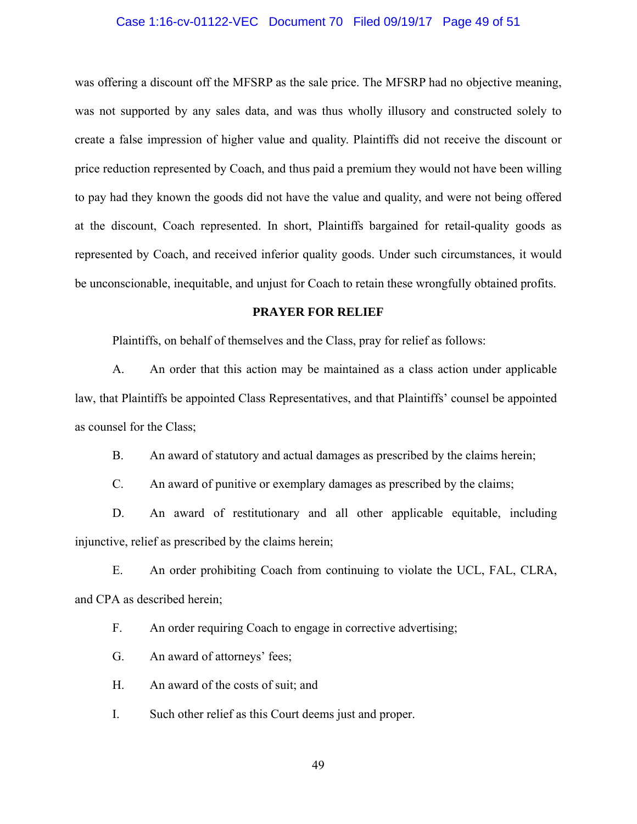#### Case 1:16-cv-01122-VEC Document 70 Filed 09/19/17 Page 49 of 51

was offering a discount off the MFSRP as the sale price. The MFSRP had no objective meaning, was not supported by any sales data, and was thus wholly illusory and constructed solely to create a false impression of higher value and quality. Plaintiffs did not receive the discount or price reduction represented by Coach, and thus paid a premium they would not have been willing to pay had they known the goods did not have the value and quality, and were not being offered at the discount, Coach represented. In short, Plaintiffs bargained for retail-quality goods as represented by Coach, and received inferior quality goods. Under such circumstances, it would be unconscionable, inequitable, and unjust for Coach to retain these wrongfully obtained profits.

#### **PRAYER FOR RELIEF**

Plaintiffs, on behalf of themselves and the Class, pray for relief as follows:

A. An order that this action may be maintained as a class action under applicable law, that Plaintiffs be appointed Class Representatives, and that Plaintiffs' counsel be appointed as counsel for the Class;

B. An award of statutory and actual damages as prescribed by the claims herein;

C. An award of punitive or exemplary damages as prescribed by the claims;

D. An award of restitutionary and all other applicable equitable, including injunctive, relief as prescribed by the claims herein;

E. An order prohibiting Coach from continuing to violate the UCL, FAL, CLRA, and CPA as described herein;

F. An order requiring Coach to engage in corrective advertising;

G. An award of attorneys' fees;

H. An award of the costs of suit; and

I. Such other relief as this Court deems just and proper.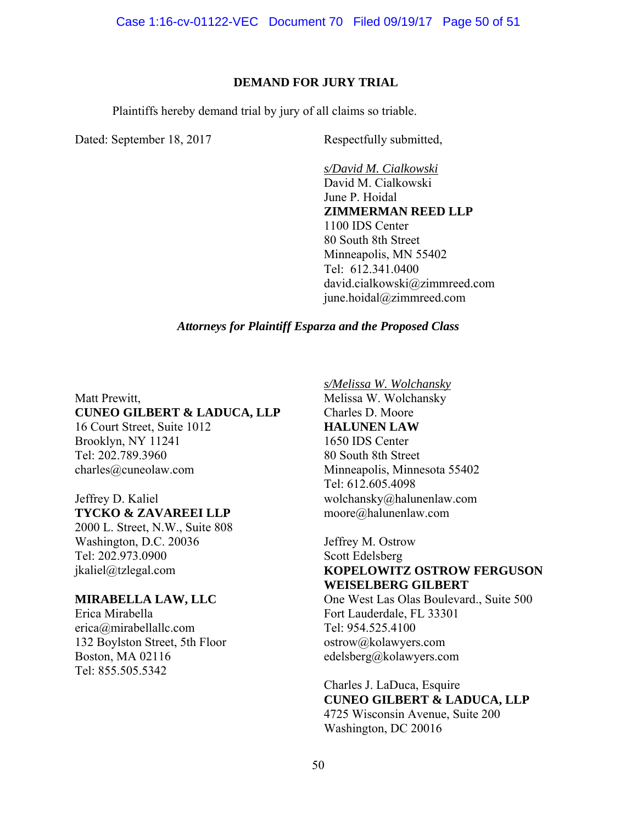## **DEMAND FOR JURY TRIAL**

Plaintiffs hereby demand trial by jury of all claims so triable.

Dated: September 18, 2017 Respectfully submitted,

*s/David M. Cialkowski* David M. Cialkowski June P. Hoidal **ZIMMERMAN REED LLP** 1100 IDS Center 80 South 8th Street Minneapolis, MN 55402 Tel: 612.341.0400 david.cialkowski@zimmreed.com june.hoidal@zimmreed.com

## *Attorneys for Plaintiff Esparza and the Proposed Class*

Matt Prewitt, **CUNEO GILBERT & LADUCA, LLP** 16 Court Street, Suite 1012 Brooklyn, NY 11241 Tel: 202.789.3960 charles@cuneolaw.com

Jeffrey D. Kaliel **TYCKO & ZAVAREEI LLP**  2000 L. Street, N.W., Suite 808 Washington, D.C. 20036

Tel: 202.973.0900 jkaliel@tzlegal.com

# **MIRABELLA LAW, LLC**

Erica Mirabella erica@mirabellallc.com 132 Boylston Street, 5th Floor Boston, MA 02116 Tel: 855.505.5342

*s/Melissa W. Wolchansky*  Melissa W. Wolchansky Charles D. Moore **HALUNEN LAW**  1650 IDS Center 80 South 8th Street Minneapolis, Minnesota 55402 Tel: 612.605.4098 wolchansky@halunenlaw.com moore@halunenlaw.com

Jeffrey M. Ostrow Scott Edelsberg **KOPELOWITZ OSTROW FERGUSON WEISELBERG GILBERT**  One West Las Olas Boulevard., Suite 500 Fort Lauderdale, FL 33301 Tel: 954.525.4100 ostrow@kolawyers.com edelsberg@kolawyers.com

Charles J. LaDuca, Esquire **CUNEO GILBERT & LADUCA, LLP**  4725 Wisconsin Avenue, Suite 200 Washington, DC 20016